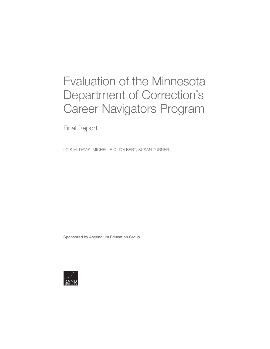# [Evaluation of the Minnesota](https://www.rand.org/pubs/research_reports/RRA1132-1.html)  Department of Correction's Career Navigators Program

Final Report

LOIS M. DAVIS, MICHELLE C. TOLBERT, SUSAN TURNER

Sponsored by Ascendium Education Group

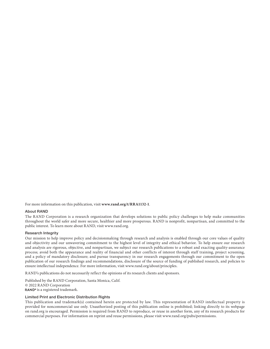For more information on this publication, visit **[www.rand.org/t/RRA1132-1](http://www.rand.org/t/RRA1132-1)**.

#### About RAND

The RAND Corporation is a research organization that develops solutions to public policy challenges to help make communities throughout the world safer and more secure, healthier and more prosperous. RAND is nonprofit, nonpartisan, and committed to the public interest. To learn more about RAND, visit [www.rand.org.](http://www.rand.org)

#### Research Integrity

Our mission to help improve policy and decisionmaking through research and analysis is enabled through our core values of quality and objectivity and our unwavering commitment to the highest level of integrity and ethical behavior. To help ensure our research and analysis are rigorous, objective, and nonpartisan, we subject our research publications to a robust and exacting quality-assurance process; avoid both the appearance and reality of financial and other conflicts of interest through staff training, project screening, and a policy of mandatory disclosure; and pursue transparency in our research engagements through our commitment to the open publication of our research findings and recommendations, disclosure of the source of funding of published research, and policies to ensure intellectual independence. For more information, visit [www.rand.org/about/principles.](http://www.rand.org/about/principles)

RAND's publications do not necessarily reflect the opinions of its research clients and sponsors.

Published by the RAND Corporation, Santa Monica, Calif. © 2022 RAND Corporation RAND<sup>®</sup> is a registered trademark.

#### Limited Print and Electronic Distribution Rights

This publication and trademark(s) contained herein are protected by law. This representation of RAND intellectual property is provided for noncommercial use only. Unauthorized posting of this publication online is prohibited; linking directly to its webpage on rand.org is encouraged. Permission is required from RAND to reproduce, or reuse in another form, any of its research products for commercial purposes. For information on reprint and reuse permissions, please visit [www.rand.org/pubs/permissions.](http://www.rand.org/pubs/permissions)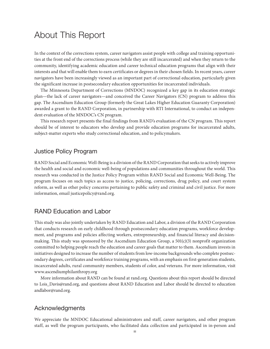## About This Report

In the context of the corrections system, career navigators assist people with college and training opportunities at the front end of the corrections process (while they are still incarcerated) and when they return to the community, identifying academic education and career technical education programs that align with their interests and that will enable them to earn certificates or degrees in their chosen fields. In recent years, career navigators have been increasingly viewed as an important part of correctional education, particularly given the significant increase in postsecondary education opportunities for incarcerated individuals.

The Minnesota Department of Corrections (MNDOC) recognized a key gap in its education strategic plan—the lack of career navigators—and conceived the Career Navigators (CN) program to address this gap. The Ascendium Education Group (formerly the Great Lakes Higher Education Guaranty Corporation) awarded a grant to the RAND Corporation, in partnership with RTI International, to conduct an independent evaluation of the MNDOC's CN program.

This research report presents the final findings from RAND's evaluation of the CN program. This report should be of interest to educators who develop and provide education programs for incarcerated adults, subject-matter experts who study correctional education, and to policymakers.

## Justice Policy Program

RAND Social and Economic Well-Being is a division of the RAND Corporation that seeks to actively improve the health and social and economic well-being of populations and communities throughout the world. This research was conducted in the Justice Policy Program within RAND Social and Economic Well-Being. The program focuses on such topics as access to justice, policing, corrections, drug policy, and court system reform, as well as other policy concerns pertaining to public safety and criminal and civil justice. For more information, email [justicepolicy@rand.org.](mailto:justicepolicy@rand.org)

## RAND Education and Labor

This study was also jointly undertaken by RAND Education and Labor, a division of the RAND Corporation that conducts research on early childhood through postsecondary education programs, workforce development, and programs and policies affecting workers, entrepreneurship, and financial literacy and decisionmaking. This study was sponsored by the Ascendium Education Group, a 501(c)(3) nonprofit organization committed to helping people reach the education and career goals that matter to them. Ascendium invests in initiatives designed to increase the number of students from low-income backgrounds who complete postsecondary degrees, certificates and workforce training programs, with an emphasis on first-generation students, incarcerated adults, rural community members, students of color, and veterans. For more information, visit [www.ascendiumphilanthropy.org](http://www.ascendiumphilanthropy.org)

More information about RAND can be found at rand.org. Questions about this report should be directed to [Lois\\_Davis@rand.org,](mailto:Lois_Davis@rand.org) and questions about RAND Education and Labor should be directed to [education](mailto:educationandlabor@rand.org) [andlabor@rand.org.](mailto:educationandlabor@rand.org)

### Acknowledgments

We appreciate the MNDOC Educational administrators and staff, career navigators, and other program staff, as well the program participants, who facilitated data collection and participated in in-person and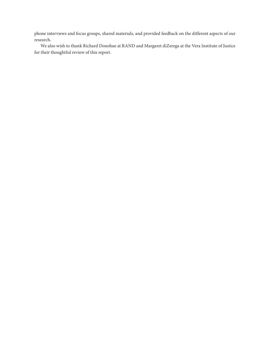phone interviews and focus groups, shared materials, and provided feedback on the different aspects of our research.

We also wish to thank Richard Donohue at RAND and Margaret diZerega at the Vera Institute of Justice for their thoughtful review of this report.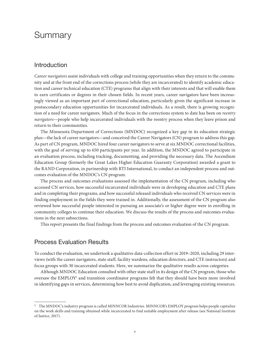## **Summary**

## Introduction

*Career navigators* assist individuals with college and training opportunities when they return to the community and at the front end of the corrections process (while they are incarcerated) to identify academic education and career technical education (CTE) programs that align with their interests and that will enable them to earn certificates or degrees in their chosen fields. In recent years, career navigators have been increasingly viewed as an important part of correctional education, particularly given the significant increase in postsecondary education opportunities for incarcerated individuals. As a result, there is growing recognition of a need for career navigators. Much of the focus in the corrections system to date has been on *reentry navigators*—people who help incarcerated individuals with the reentry process when they leave prison and return to their communities.

The Minnesota Department of Corrections (MNDOC) recognized a key gap in its education strategic plan—the lack of career navigators—and conceived the Career Navigators (CN) program to address this gap. As part of CN program, MNDOC hired four career navigators to serve at six MNDOC correctional facilities, with the goal of serving up to 650 participants per year. In addition, the MNDOC agreed to participate in an evaluation process, including tracking, documenting, and providing the necessary data. The Ascendium Education Group (formerly the Great Lakes Higher Education Guaranty Corporation) awarded a grant to the RAND Corporation, in partnership with RTI International, to conduct an independent process and outcomes evaluation of the MNDOC's CN program.

The process and outcomes evaluations assessed the implementation of the CN program, including who accessed CN services, how successful incarcerated individuals were in developing education and CTE plans and in completing their programs, and how successful released individuals who received CN services were in finding employment in the fields they were trained in. Additionally, the assessment of the CN program also reviewed how successful people interested in pursuing an associate's or higher degree were in enrolling in community colleges to continue their education. We discuss the results of the process and outcomes evaluations in the next subsections.

This report presents the final findings from the process and outcomes evaluation of the CN program.

### Process Evaluation Results

To conduct the evaluation, we undertook a qualitative data-collection effort in 2019–2020, including 29 interviews (with the career navigators, state staff, facility wardens, education directors, and CTE instructors) and focus groups with 30 incarcerated students. Here, we summarize the qualitative results across categories.

Although MNDOC Education consulted with other state staff in its design of the CN program, those who oversaw the EMPLOY1 and transition coordinator programs felt that they should have been more involved in identifying gaps in services, determining how best to avoid duplication, and leveraging existing resources.

 $1$  The MNDOC's industry program is called MINNCOR Industries. MINNCOR's EMPLOY program helps people capitalize on the work skills and training obtained while incarcerated to find suitable employment after release (see National Institute of Justice, 2017).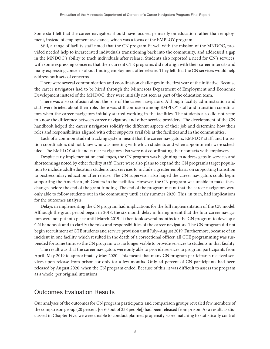Some staff felt that the career navigators should have focused primarily on education rather than employment, instead of employment assistance, which was a focus of the EMPLOY program.

Still, a range of facility staff noted that the CN program fit well with the mission of the MNDOC, provided needed help to incarcerated individuals transitioning back into the community, and addressed a gap in the MNDOC's ability to track individuals after release. Students also reported a need for CN's services, with some expressing concerns that their current CTE programs did not align with their career interests and many expressing concerns about finding employment after release. They felt that the CN services would help address both sets of concerns.

There were several communication and coordination challenges in the first year of the initiative. Because the career navigators had to be hired through the Minnesota Department of Employment and Economic Development instead of the MNDOC, they were initially not seen as part of the education team.

There was also confusion about the role of the career navigators. Although facility administration and staff were briefed about their role, there was still confusion among EMPLOY staff and transition coordinators when the career navigators initially started working in the facilities. The students also did not seem to know the difference between career navigators and other service providers. The development of the CN handbook helped the career navigators solidify the different aspects of their job and determine how their roles and responsibilities aligned with other supports available at the facilities and in the communities.

Lack of a common student tracking system meant that the career navigators, EMPLOY staff, and transition coordinators did not know who was meeting with which students and when appointments were scheduled. The EMPLOY staff and career navigators also were not coordinating their contacts with employers.

Despite early implementation challenges, the CN program was beginning to address gaps in services and shortcomings noted by other facility staff. There were also plans to expand the CN program's target population to include adult education students and services to include a greater emphasis on supporting transition to postsecondary education after release. The CN supervisor also hoped the career navigators could begin supporting the American Job Centers in the facilities. However, the CN program was unable to make these changes before the end of the grant funding. The end of the program meant that the career navigators were only able to follow students out in the community until early summer 2020. This, in turn, had implications for the outcomes analysis.

Delays in implementing the CN program had implications for the full implementation of the CN model. Although the grant period began in 2018, the six-month delay in hiring meant that the four career navigators were not put into place until March 2019. It then took several months for the CN program to develop a CN handbook and to clarify the roles and responsibilities of the career navigators. The CN program did not begin recruitment of CTE students and service provision until July–August 2019. Furthermore, because of an incident in one facility, which resulted in the death of a correctional officer, all CTE programming was suspended for some time, so the CN program was no longer viable to provide services to students in that facility.

The result was that the career navigators were only able to provide services to program participants from April–May 2019 to approximately May 2020. This meant that many CN program participants received services upon release from prison for only for a few months. Only 44 percent of CN participants had been released by August 2020, when the CN program ended. Because of this, it was difficult to assess the program as a whole, per original intentions.

### Outcomes Evaluation Results

Our analyses of the outcomes for CN program participants and comparison groups revealed few members of the comparison group (20 percent [or 60 out of 238 people]) had been released from prison. As a result, as discussed in Chapter Five, we were unable to conduct planned propensity score matching to statistically control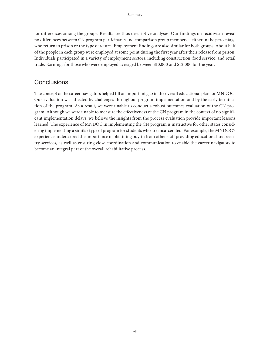for differences among the groups. Results are thus descriptive analyses. Our findings on recidivism reveal no differences between CN program participants and comparison group members—either in the percentage who return to prison or the type of return. Employment findings are also similar for both groups. About half of the people in each group were employed at some point during the first year after their release from prison. Individuals participated in a variety of employment sectors, including construction, food service, and retail trade. Earnings for those who were employed averaged between \$10,000 and \$12,000 for the year.

## **Conclusions**

The concept of the career navigators helped fill an important gap in the overall educational plan for MNDOC. Our evaluation was affected by challenges throughout program implementation and by the early termination of the program. As a result, we were unable to conduct a robust outcomes evaluation of the CN program. Although we were unable to measure the effectiveness of the CN program in the context of no significant implementation delays, we believe the insights from the process evaluation provide important lessons learned. The experience of MNDOC in implementing the CN program is instructive for other states considering implementing a similar type of program for students who are incarcerated. For example, the MNDOC's experience underscored the importance of obtaining buy-in from other staff providing educational and reentry services, as well as ensuring close coordination and communication to enable the career navigators to become an integral part of the overall rehabilitative process.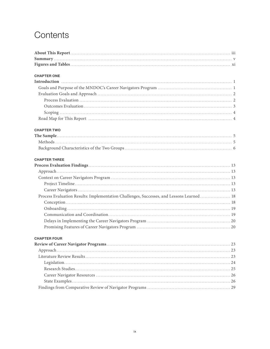## Contents

| <b>CHAPTER ONE</b>                                                                       |
|------------------------------------------------------------------------------------------|
|                                                                                          |
|                                                                                          |
|                                                                                          |
|                                                                                          |
|                                                                                          |
|                                                                                          |
|                                                                                          |
| <b>CHAPTER TWO</b>                                                                       |
|                                                                                          |
|                                                                                          |
|                                                                                          |
| <b>CHAPTER THREE</b>                                                                     |
|                                                                                          |
|                                                                                          |
|                                                                                          |
|                                                                                          |
|                                                                                          |
| Process Evaluation Results: Implementation Challenges, Successes, and Lessons Learned 18 |
|                                                                                          |
|                                                                                          |
|                                                                                          |
|                                                                                          |
|                                                                                          |
| <b>CHAPTER FOUR</b>                                                                      |
| 23                                                                                       |
|                                                                                          |
|                                                                                          |
|                                                                                          |
|                                                                                          |
|                                                                                          |
|                                                                                          |
|                                                                                          |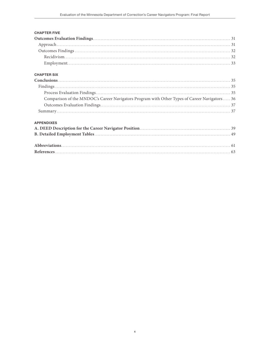#### **CHAPTER FIVE**

#### **CHAPTER SIX**

| Comparison of the MNDOC's Career Navigators Program with Other Types of Career Navigators 36 |  |
|----------------------------------------------------------------------------------------------|--|
|                                                                                              |  |
|                                                                                              |  |

#### **APPENDIXES**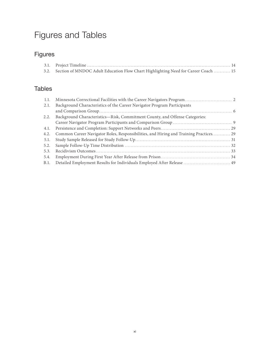# Figures and Tables

## Figures

| 3.2. Section of MNDOC Adult Education Flow Chart Highlighting Need for Career Coach  15 |  |
|-----------------------------------------------------------------------------------------|--|

## Tables

| 1.1. |                                                                                       |  |
|------|---------------------------------------------------------------------------------------|--|
| 2.1. | Background Characteristics of the Career Navigator Program Participants               |  |
|      |                                                                                       |  |
| 2.2. | Background Characteristics-Risk, Commitment County, and Offense Categories:           |  |
|      |                                                                                       |  |
| 4.1. |                                                                                       |  |
| 4.2. | Common Career Navigator Roles, Responsibilities, and Hiring and Training Practices 29 |  |
| 5.1. |                                                                                       |  |
| 5.2. |                                                                                       |  |
| 5.3. |                                                                                       |  |
| 5.4. |                                                                                       |  |
| B.1. | Detailed Employment Results for Individuals Employed After Release  49                |  |
|      |                                                                                       |  |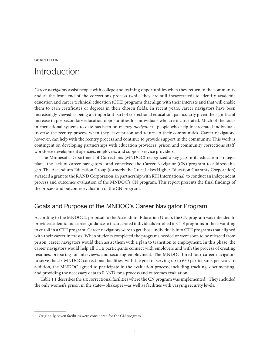## Introduction

*Career navigators* assist people with college and training opportunities when they return to the community and at the front end of the corrections process (while they are still incarcerated) to identify academic education and career technical education (CTE) programs that align with their interests and that will enable them to earn certificates or degrees in their chosen fields. In recent years, career navigators have been increasingly viewed as being an important part of correctional education, particularly given the significant increase in postsecondary education opportunities for individuals who are incarcerated. Much of the focus in correctional systems to date has been on r*eentry navigators*—people who help incarcerated individuals traverse the reentry process when they leave prison and return to their communities. Career navigators, however, can help with the reentry process and continue to provide support in the community. This work is contingent on developing partnerships with education providers, prison and community corrections staff, workforce development agencies, employers, and support service providers.

The Minnesota Department of Corrections (MNDOC) recognized a key gap in its education strategic plan—the lack of career navigators—and conceived the Career Navigator (CN) program to address this gap. The Ascendium Education Group (formerly the Great Lakes Higher Education Guaranty Corporation) awarded a grant to the RAND Corporation, in partnership with RTI International, to conduct an independent process and outcomes evaluation of the MNDOC's CN program. This report presents the final findings of the process and outcomes evaluation of the CN program.

## Goals and Purpose of the MNDOC's Career Navigator Program

According to the MNDOC's proposal to the Ascendium Education Group, the CN program was intended to provide academic and career guidance to incarcerated individuals enrolled in CTE programs or those wanting to enroll in a CTE program. Career navigators were to get those individuals into CTE programs that aligned with their career interests. When students completed the programs needed or were soon to be released from prison, career navigators would then assist them with a plan to transition to employment. In this phase, the career navigators would help all CTE participants connect with employers and with the process of creating résumés, preparing for interviews, and securing employment. The MNDOC hired four career navigators to serve the six MNDOC correctional facilities, with the goal of serving up to 650 participants per year. In addition, the MNDOC agreed to participate in the evaluation process, including tracking, documenting, and providing the necessary data to RAND for a process and outcomes evaluation.

Table 1.1 describes the six correctional facilities where the CN program was implemented.1 They included the only women's prison in the state—Shakopee—as well as facilities with varying security levels.

<sup>1</sup> Originally, seven facilities were considered for the CN program.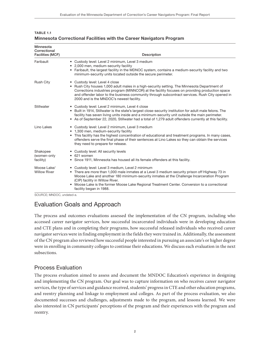| Minnesota<br>Correctional<br><b>Facilities (MCF)</b> | Description                                                                                                                                                                                                                                                                                                                                                                                                     |
|------------------------------------------------------|-----------------------------------------------------------------------------------------------------------------------------------------------------------------------------------------------------------------------------------------------------------------------------------------------------------------------------------------------------------------------------------------------------------------|
|                                                      |                                                                                                                                                                                                                                                                                                                                                                                                                 |
| Faribault                                            | • Custody level: Level 2 minimum, Level 3 medium<br>• 2,000 men, medium-security facility<br>• Faribault, the largest facility in the MDNOC system, contains a medium-security facility and two<br>minimum-security units located outside the secure perimeter.                                                                                                                                                 |
| <b>Rush City</b>                                     | • Custody level: Level 4 close<br>• Rush City houses 1,000 adult males in a high-security setting. The Minnesota Department of<br>Corrections industries program (MINNCOR) at the facility focuses on providing production space<br>and offender labor to the business community through subcontract services. Rush City opened in<br>2000 and is the MNDOC's newest facility.                                  |
| Stillwater                                           | • Custody level: Level 2 minimum, Level 4 close<br>• Built in 1914, Stillwater is the state's largest close-security institution for adult male felons. The<br>facility has seven living units inside and a minimum-security unit outside the main perimeter.<br>• As of September 22, 2020, Stillwater had a total of 1,279 adult offenders currently at this facility.                                        |
| Lino Lakes                                           | • Custody level: Level 2 minimum, Level 3 medium<br>• 1,300 men, medium-security facility<br>• This facility has the highest concentration of educational and treatment programs. In many cases,<br>offenders serve the final phase of their sentences at Lino Lakes so they can obtain the services<br>they need to prepare for release.                                                                       |
| Shakopee<br>(women-only<br>facility)                 | • Custody level: All security levels<br>$\bullet$ 621 women<br>• Since 1911, Minnesota has housed all its female offenders at this facility.                                                                                                                                                                                                                                                                    |
| Moose Lake/<br><b>Willow River</b>                   | • Custody level: Level 3 medium, Level 2 minimum<br>• There are more than 1,000 male inmates at a Level 3 medium security prison off Highway 73 in<br>Moose Lake and another 180 minimum-security inmates at the Challenge Incarceration Program<br>(CIP) facility in Willow River.<br>• Moose Lake is the former Moose Lake Regional Treatment Center. Conversion to a correctional<br>facility began in 1988. |

#### TABLE 1.1 Minnesota Correctional Facilities with the Career Navigators Program

SOURCE; MNDOC, undated-a.

## Evaluation Goals and Approach

The process and outcomes evaluations assessed the implementation of the CN program, including who accessed career navigator services, how successful incarcerated individuals were in developing education and CTE plans and in completing their programs, how successful released individuals who received career navigator services were in finding employment in the fields they were trained in. Additionally, the assessment of the CN program also reviewed how successful people interested in pursuing an associate's or higher degree were in enrolling in community colleges to continue their educations. We discuss each evaluation in the next subsections.

## Process Evaluation

The process evaluation aimed to assess and document the MNDOC Education's experience in designing and implementing the CN program. Our goal was to capture information on who receives career navigator services, the type of services and guidance received, students' progress in CTE and other education programs, and reentry planning and linkage to employment and colleges. As part of the process evaluation, we also documented successes and challenges, adjustments made to the program, and lessons learned. We were also interested in CN participants' perceptions of the program and their experiences with the program and reentry.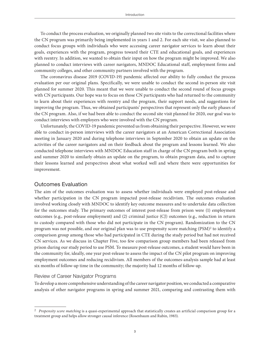To conduct the process evaluation, we originally planned two site visits to the correctional facilities where the CN program was primarily being implemented in years 1 and 2. For each site visit, we also planned to conduct focus groups with individuals who were accessing career navigator services to learn about their goals, experiences with the program, progress toward their CTE and educational goals, and experiences with reentry. In addition, we wanted to obtain their input on how the program might be improved. We also planned to conduct interviews with career navigators, MNDOC Educational staff, employment firms and community colleges, and other community partners involved with the program.

The coronavirus disease 2019 (COVID-19) pandemic affected our ability to fully conduct the process evaluation per our original plans. Specifically, we were unable to conduct the second in-person site visit planned for summer 2020. This meant that we were unable to conduct the second round of focus groups with CN participants. Our hope was to focus on those CN participants who had returned to the community to learn about their experiences with reentry and the program, their support needs, and suggestions for improving the program. Thus, we obtained participants' perspectives that represent only the early phases of the CN program. Also, if we had been able to conduct the second site visit planned for 2020, our goal was to conduct interviews with employers who were involved with the CN program.

Unfortunately, the COVID-19 pandemic prevented us from obtaining their perspective. However, we were able to conduct in-person interviews with the career navigators at an American Correctional Association meeting in January 2020 and during telephone interviews in September 2020 to obtain an update on the activities of the career navigators and on their feedback about the program and lessons learned. We also conducted telephone interviews with MNDOC Education staff in charge of the CN program both in spring and summer 2020 to similarly obtain an update on the program, to obtain program data, and to capture their lessons learned and perspectives about what worked well and where there were opportunities for improvement.

#### Outcomes Evaluation

The aim of the outcomes evaluation was to assess whether individuals were employed post-release and whether participation in the CN program impacted post-release recidivism. The outcomes evaluation involved working closely with MNDOC to identify key outcome measures and to undertake data collection for the outcomes study. The primary outcomes of interest post-release from prison were (1) employment outcomes (e.g., post-release employment) and (2) criminal justice (CJ) outcomes (e.g., reduction in return to custody compared with those who did not participate in the CN program). Randomization to the CN program was not possible, and our original plan was to use propensity score matching  $(PSM)^2$  to identify a comparison group among those who had participated in CTE during the study period but had not received CN services. As we discuss in Chapter Five, too few comparison group members had been released from prison during our study period to use PSM. To measure post-release outcomes, a student would have been in the community for, ideally, one year post-release to assess the impact of the CN pilot program on improving employment outcomes and reducing recidivism. All members of the outcomes-analysis sample had at least six months of follow-up time in the community; the majority had 12 months of follow-up.

#### Review of Career Navigator Programs

To develop a more comprehensive understanding of the career navigator position, we conducted a comparative analysis of other navigator programs in spring and summer 2021, comparing and contrasting them with

<sup>2</sup> *Propensity score matching* is a quasi-experimental approach that statistically creates an artificial comparison group for a treatment group and helps allow stronger causal inference (Rosenbaum and Rubin, 1983).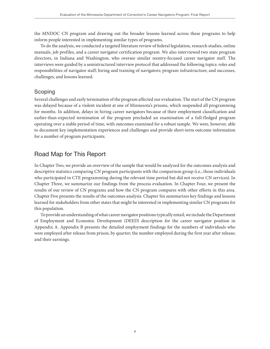the MNDOC CN program and drawing out the broader lessons learned across these programs to help inform people interested in implementing similar types of programs.

To do the analysis, we conducted a targeted literature review of federal legislation, research studies, online manuals, job profiles, and a career navigator certification program. We also interviewed two state program directors, in Indiana and Washington, who oversee similar reentry-focused career navigator staff. The interviews were guided by a semistructured interview protocol that addressed the following topics: roles and responsibilities of navigator staff; hiring and training of navigators; program infrastructure; and successes, challenges, and lessons learned.

## **Scoping**

Several challenges and early termination of the program affected our evaluation. The start of the CN program was delayed because of a violent incident at one of Minnesota's prisons, which suspended all programming for months. In addition, delays in hiring career navigators because of their employment classification and earlier-than-expected termination of the program precluded an examination of a full-fledged program operating over a stable period of time, with outcomes examined for a robust sample. We were, however, able to document key implementation experiences and challenges and provide short-term outcome information for a number of program participants.

## Road Map for This Report

In Chapter Two, we provide an overview of the sample that would be analyzed for the outcomes analysis and descriptive statistics comparing CN program participants with the comparison group (i.e., those individuals who participated in CTE programming during the relevant time period but did not receive CN services). In Chapter Three, we summarize our findings from the process evaluation. In Chapter Four, we present the results of our review of CN programs and how the CN program compares with other efforts in this area. Chapter Five presents the results of the outcomes analysis. Chapter Six summarizes key findings and lessons learned for stakeholders from other states that might be interested in implementing similar CN programs for this population.

To provide an understanding of what career navigator positions typically entail, we include the Department of Employment and Economic Development (DEED) description for the career navigator position in Appendix A. Appendix B presents the detailed employment findings for the numbers of individuals who were employed after release from prison, by quarter; the number employed during the first year after release; and their earnings.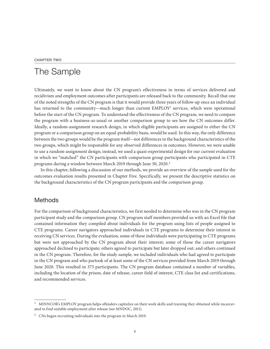## The Sample

Ultimately, we want to know about the CN program's effectiveness in terms of services delivered and recidivism and employment outcomes after participants are released back to the community. Recall that one of the noted strengths of the CN program is that it would provide three years of follow-up once an individual has returned to the community—much longer than current EMPLOY<sup>1</sup> services, which were operational before the start of the CN program. To understand the effectiveness of the CN program, we need to compare the program with a business-as-usual or another comparison group to see how the CN outcomes differ. Ideally, a random-assignment research design, in which eligible participants are assigned to either the CN program or a comparison group on an equal-probability basis, would be used. In this way, the only difference between the two groups would be the program itself—not differences in the background characteristics of the two groups, which might be responsible for any observed differences in outcomes. However, we were unable to use a random-assignment design; instead, we used a quasi-experimental design for our current evaluation in which we "matched" the CN participants with comparison group participants who participated in CTE programs during a window between March 2019 through June 30, 2020.2

In this chapter, following a discussion of our methods, we provide an overview of the sample used for the outcomes evaluation results presented in Chapter Five. Specifically, we present the descriptive statistics on the background characteristics of the CN program participants and the comparison group.

## **Methods**

For the comparison of background characteristics, we first needed to determine who was in the CN program participant study and the comparison group. CN program staff members provided us with an Excel file that contained information they compiled about individuals for the program using lists of people assigned to CTE programs. Career navigators approached individuals in CTE programs to determine their interest in receiving CN services. During the evaluation, some of these individuals were participating in CTE programs but were not approached by the CN program about their interest; some of those the career navigators approached declined to participate; others agreed to participate but later dropped out; and others continued in the CN program. Therefore, for the study sample, we included individuals who had agreed to participate in the CN program and who partook of at least some of the CN services provided from March 2019 through June 2020. This resulted in 373 participants. The CN program database contained a number of variables, including the location of the prison, date of release, career field of interest, CTE class list and certifications, and recommended services.

<sup>1</sup> MINNCOR's EMPLOY program helps offenders capitalize on their work skills and training they obtained while incarcerated to find suitable employment after release (see MNDOC, 2011).

<sup>2</sup> CNs began recruiting individuals into the program in March 2019.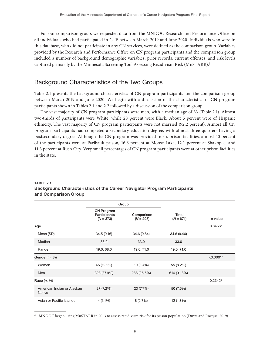For our comparison group, we requested data from the MNDOC Research and Performance Office on all individuals who had participated in CTE between March 2019 and June 2020. Individuals who were in this database, who did not participate in any CN services, were defined as the comparison group. Variables provided by the Research and Performance Office on CN program participants and the comparison group included a number of background demographic variables, prior records, current offenses, and risk levels captured primarily by the Minnesota Screening Tool Assessing Recidivism Risk (MnSTARR).3

## Background Characteristics of the Two Groups

Table 2.1 presents the background characteristics of CN program participants and the comparison group between March 2019 and June 2020. We begin with a discussion of the characteristics of CN program participants shown in Tables 2.1 and 2.2 followed by a discussion of the comparison group.

The vast majority of CN program participants were men, with a median age of 33 (Table 2.1). Almost two-thirds of participants were White, while 28 percent were Black. About 5 percent were of Hispanic ethnicity. The vast majority of CN program participants were not married (92.2 percent). Almost all CN program participants had completed a secondary education degree, with almost three-quarters having a postsecondary degree. Although the CN program was provided in six prison facilities, almost 40 percent of the participants were at Faribault prison, 16.6 percent at Moose Lake, 12.1 percent at Shakopee, and 11.3 percent at Rush City. Very small percentages of CN program participants were at other prison facilities in the state.

|                                             | Group                                            |                           |                      |                       |
|---------------------------------------------|--------------------------------------------------|---------------------------|----------------------|-----------------------|
|                                             | <b>CN Program</b><br>Participants<br>$(N = 373)$ | Comparison<br>$(N = 298)$ | Total<br>$(N = 671)$ | p value               |
| Age                                         |                                                  |                           |                      | 0.8456a               |
| Mean (SD)                                   | 34.5 (9.16)                                      | 34.6 (9.84)               | 34.6 (9.46)          |                       |
| Median                                      | 33.0                                             | 33.0                      | 33.0                 |                       |
| Range                                       | 19.0, 68.0                                       | 19.0, 71.0                | 19.0, 71.0           |                       |
| Gender (n, %)                               |                                                  |                           |                      | < 0.0001 <sup>b</sup> |
| Women                                       | 45 (12.1%)                                       | 10 (3.4%)                 | 55 (8.2%)            |                       |
| Men                                         | 328 (87.9%)                                      | 288 (96.6%)               | 616 (91.8%)          |                       |
| Race $(n, %)$                               |                                                  |                           |                      | 0.2342 <sup>b</sup>   |
| American Indian or Alaskan<br><b>Native</b> | 27 (7.2%)                                        | 23 (7.7%)                 | 50 (7.5%)            |                       |
| Asian or Pacific Islander                   | $4(1.1\%)$                                       | 8(2.7%)                   | 12 (1.8%)            |                       |

#### TABLE 2.1 Background Characteristics of the Career Navigator Program Participants and Comparison Group

<sup>3</sup> MNDOC began using MnSTARR in 2013 to assess recidivism risk for its prison population (Duwe and Rocque, 2019).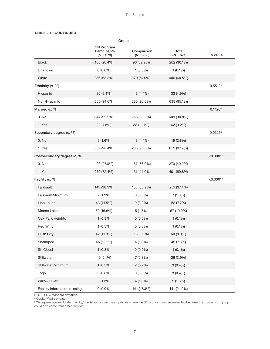#### TABLE 2.1—CONTINUED

|                              | Group                                            |                           |                      |                         |
|------------------------------|--------------------------------------------------|---------------------------|----------------------|-------------------------|
|                              | <b>CN Program</b><br>Participants<br>$(N = 373)$ | Comparison<br>$(N = 298)$ | Total<br>$(N = 671)$ | p value                 |
| <b>Black</b>                 | 106 (28.4%)                                      | 96 (32.2%)                | 202 (30.1%)          |                         |
| Unknown                      | $0(0.0\%)$                                       | $1(0.3\%)$                | $1(0.1\%)$           |                         |
| White                        | 236 (63.3%)                                      | 170 (57.0%)               | 406 (60.5%)          |                         |
| Ethnicity (n, %)             |                                                  |                           |                      | 0.5519 <sup>b</sup>     |
| Hispanic                     | 20 (5.4%)                                        | 13 (4.4%)                 | 33 (4.9%)            |                         |
| Non-Hispanic                 | 353 (94.6%)                                      | 285 (95.6%)               | 638 (95.1%)          |                         |
| Married (n, %)               |                                                  |                           |                      | 0.1426 <sup>b</sup>     |
| 0. No                        | 344 (92.2%)                                      | 265 (88.9%)               | 609 (90.8%)          |                         |
| 1. Yes                       | 29 (7.8%)                                        | 33 (11.1%)                | 62 (9.2%)            |                         |
| Secondary degree (n, %)      |                                                  |                           |                      | 0.0326 <sup>b</sup>     |
| 0. No                        | 6(1.6%)                                          | 13 (4.4%)                 | 19 (2.8%)            |                         |
| 1. Yes                       | 367 (98.4%)                                      | 285 (95.6%)               | 652 (97.2%)          |                         |
| Postsecondary degree (n, %)  |                                                  |                           |                      | < 0.0001 <sup>b</sup>   |
| 0. No                        | 103 (27.6%)                                      | 167 (56.0%)               | 270 (40.2%)          |                         |
| 1. Yes                       | 270 (72.4%)                                      | 131 (44.0%)               | 401 (59.8%)          |                         |
| Facility (n, %)              |                                                  |                           |                      | $<$ 0.0001 <sup>b</sup> |
| Faribault                    | 143 (38.3%)                                      | 108 (36.2%)               | 251 (37.4%)          |                         |
| Faribault Minimum            | 7 (1.9%)                                         | $0(0.0\%)$                | 7 (1.0%)             |                         |
| Lino Lakes                   | 43 (11.5%)                                       | $9(3.0\%)$                | 52 (7.7%)            |                         |
| Moose Lake                   | 62 (16.6%)                                       | 5(1.7%)                   | 67 (10.0%)           |                         |
| Oak Park Heights             | $1(0.3\%)$                                       | $0(0.0\%)$                | $1(0.1\%)$           |                         |
| <b>Red Wing</b>              | $1(0.3\%)$                                       | $0(0.0\%)$                | $1(0.1\%)$           |                         |
| <b>Rush City</b>             | 42 (11.3%)                                       | 18 (6.0%)                 | 60 (8.9%)            |                         |
| Shakopee                     | 45 (12.1%)                                       | 4(1.3%)                   | 49 (7.3%)            |                         |
| St. Cloud                    | $1(0.3\%)$                                       | $0(0.0\%)$                | $1(0.1\%)$           |                         |
| Stillwater                   | 19 (5.1%)                                        | 7 (2.3%)                  | 26 (3.9%)            |                         |
| Stillwater Minimum           | $1(0.3\%)$                                       | 2(0.7%)                   | 3(0.4%)              |                         |
| Togo                         | $3(0.8\%)$                                       | $0(0.0\%)$                | 3(0.4%)              |                         |
| <b>Willow River</b>          | 5(1.3%)                                          | 4 (1.3%)                  | 9(1.3%)              |                         |
| Facility information missing | $0(0.0\%)$                                       | 141 (47.3%)               | 141 (21.0%)          |                         |

NOTE: SD = standard deviation. a Kruskal-Wallis *p* value.

b Chi-square *p* value. Under "facility," we list more than the six prisons where the CN program was implemented because the comparison group could also come from other facilities.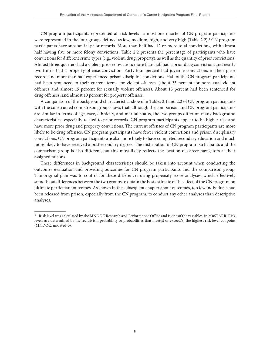CN program participants represented all risk levels—almost one-quarter of CN program participants were represented in the four groups defined as low, medium, high, and very high (Table 2.2).<sup>4</sup> CN program participants have substantial prior records. More than half had 12 or more total convictions, with almost half having five or more felony convictions. Table 2.2 presents the percentage of participants who have convictions for different crime types (e.g., violent, drug, property), as well as the quantity of prior convictions. Almost three-quarters had a violent prior conviction; more than half had a prior drug conviction; and nearly two-thirds had a property offense conviction. Forty-four percent had juvenile convictions in their prior record, and more than half experienced prison-discipline convictions. Half of the CN program participants had been sentenced to their current terms for violent offenses (about 35 percent for nonsexual violent offenses and almost 15 percent for sexually violent offenses). About 15 percent had been sentenced for drug offenses, and almost 10 percent for property offenses.

A comparison of the background characteristics shown in Tables 2.1 and 2.2 of CN program participants with the constructed comparison group shows that, although the comparison and CN program participants are similar in terms of age, race, ethnicity, and marital status, the two groups differ on many background characteristics, especially related to prior records. CN program participants appear to be higher risk and have more prior drug and property convictions. The current offenses of CN program participants are more likely to be drug offenses. CN program participants have fewer violent convictions and prison disciplinary convictions. CN program participants are also more likely to have completed secondary education and much more likely to have received a postsecondary degree. The distribution of CN program participants and the comparison group is also different, but this most likely reflects the location of career navigators at their assigned prisons.

These differences in background characteristics should be taken into account when conducting the outcomes evaluation and providing outcomes for CN program participants and the comparison group. The original plan was to control for these differences using propensity score analyses, which effectively smooth out differences between the two groups to obtain the best estimate of the effect of the CN program on ultimate participant outcomes. As shown in the subsequent chapter about outcomes, too few individuals had been released from prison, especially from the CN program, to conduct any other analyses than descriptive analyses.

<sup>4</sup> Risk level was calculated by the MNDOC Research and Performance Office and is one of the variables in MnSTARR. Risk levels are determined by the recidivism probability or probabilities that meet(s) or exceed(s) the highest risk level cut point (MNDOC, undated-b).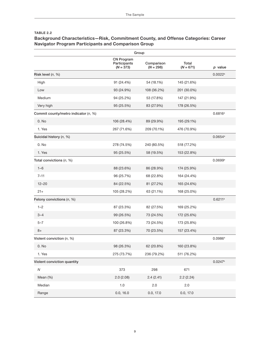## Background Characteristics—Risk, Commitment County, and Offense Categories: Career Navigator Program Participants and Comparison Group

| Group                                |                                                  |                           |                      |            |  |
|--------------------------------------|--------------------------------------------------|---------------------------|----------------------|------------|--|
|                                      | <b>CN Program</b><br>Participants<br>$(N = 373)$ | Comparison<br>$(N = 298)$ | Total<br>$(N = 671)$ | p value    |  |
| Risk level (n, %)                    |                                                  |                           |                      | 0.0022a    |  |
| High                                 | 91 (24.4%)                                       | 54 (18.1%)                | 145 (21.6%)          |            |  |
| Low                                  | 93 (24.9%)                                       | 108 (36.2%)               | 201 (30.0%)          |            |  |
| Medium                               | 94 (25.2%)                                       | 53 (17.8%)                | 147 (21.9%)          |            |  |
| Very high                            | 95 (25.5%)                                       | 83 (27.9%)                | 178 (26.5%)          |            |  |
| Commit county/metro indicator (n, %) |                                                  |                           |                      | $0.6816^a$ |  |
| 0. No                                | 106 (28.4%)                                      | 89 (29.9%)                | 195 (29.1%)          |            |  |
| 1. Yes                               | 267 (71.6%)                                      | 209 (70.1%)               | 476 (70.9%)          |            |  |
| Suicidal history (n, %)              |                                                  |                           |                      | 0.0654a    |  |
| 0. No                                | 278 (74.5%)                                      | 240 (80.5%)               | 518 (77.2%)          |            |  |
| 1. Yes                               | 95 (25.5%)                                       | 58 (19.5%)                | 153 (22.8%)          |            |  |
| Total convictions $(n, %)$           |                                                  |                           |                      | 0.0699a    |  |
| $1 - 6$                              | 88 (23.6%)                                       | 86 (28.9%)                | 174 (25.9%)          |            |  |
| $7 - 11$                             | 96 (25.7%)                                       | 68 (22.8%)                | 164 (24.4%)          |            |  |
| $12 - 20$                            | 84 (22.5%)                                       | 81 (27.2%)                | 165 (24.6%)          |            |  |
| $21+$                                | 105 (28.2%)                                      | 63 (21.1%)                | 168 (25.0%)          |            |  |
| Felony convictions (n, %)            |                                                  |                           |                      | $0.6211^a$ |  |
| $1 - 2$                              | 87 (23.3%)                                       | 82 (27.5%)                | 169 (25.2%)          |            |  |
| $3 - 4$                              | 99 (26.5%)                                       | 73 (24.5%)                | 172 (25.6%)          |            |  |
| $5 - 7$                              | 100 (26.8%)                                      | 73 (24.5%)                | 173 (25.8%)          |            |  |
| $8+$                                 | 87 (23.3%)                                       | 70 (23.5%)                | 157 (23.4%)          |            |  |
| Violent conviction $(n, %)$          |                                                  |                           |                      | 0.0986a    |  |
| 0. No                                | 98 (26.3%)                                       | 62 (20.8%)                | 160 (23.8%)          |            |  |
| 1. Yes                               | 275 (73.7%)                                      | 236 (79.2%)               | 511 (76.2%)          |            |  |
| Violent conviction quantity          |                                                  |                           |                      | $0.0247^b$ |  |
| Ν                                    | 373                                              | 298                       | 671                  |            |  |
| Mean (%)                             | 2.0(2.08)                                        | 2.4(2.41)                 | 2.2(2.24)            |            |  |
| Median                               | $1.0$                                            | 2.0                       | 2.0                  |            |  |
| Range                                | 0.0, 16.0                                        | 0.0, 17.0                 | 0.0, 17.0            |            |  |

#### TABLE 2.2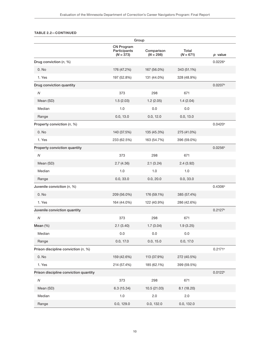#### TABLE 2.2—CONTINUED

| Group                                 |                                                  |                           |                      |                     |
|---------------------------------------|--------------------------------------------------|---------------------------|----------------------|---------------------|
|                                       | <b>CN Program</b><br>Participants<br>$(N = 373)$ | Comparison<br>$(N = 298)$ | Total<br>$(N = 671)$ | p value             |
| Drug conviction (n, %)                |                                                  |                           |                      | 0.0226a             |
| 0. No                                 | 176 (47.2%)                                      | 167 (56.0%)               | 343 (51.1%)          |                     |
| 1. Yes                                | 197 (52.8%)                                      | 131 (44.0%)               | 328 (48.9%)          |                     |
| Drug conviction quantity              |                                                  |                           |                      | 0.0207 <sup>b</sup> |
| Ν                                     | 373                                              | 298                       | 671                  |                     |
| Mean (SD)                             | 1.5(2.03)                                        | 1.2(2.05)                 | 1.4(2.04)            |                     |
| Median                                | 1.0                                              | 0.0                       | 0.0                  |                     |
| Range                                 | 0.0, 13.0                                        | 0.0, 12.0                 | 0.0, 13.0            |                     |
| Property conviction $(n, %)$          |                                                  |                           |                      | 0.0420a             |
| 0. No                                 | 140 (37.5%)                                      | 135 (45.3%)               | 275 (41.0%)          |                     |
| 1. Yes                                | 233 (62.5%)                                      | 163 (54.7%)               | 396 (59.0%)          |                     |
| Property conviction quantity          |                                                  |                           |                      | 0.0256 <sup>b</sup> |
| $\boldsymbol{N}$                      | 373                                              | 298                       | 671                  |                     |
| Mean (SD)                             | 2.7(4.36)                                        | 2.1(3.24)                 | 2.4 (3.92)           |                     |
| Median                                | 1.0                                              | 1.0                       | 1.0                  |                     |
| Range                                 | 0.0, 33.0                                        | 0.0, 20.0                 | 0.0, 33.0            |                     |
| Juvenile conviction $(n, %)$          |                                                  |                           |                      | 0.4306a             |
| 0. No                                 | 209 (56.0%)                                      | 176 (59.1%)               | 385 (57.4%)          |                     |
| 1. Yes                                | 164 (44.0%)                                      | 122 (40.9%)               | 286 (42.6%)          |                     |
| Juvenile conviction quantity          |                                                  |                           |                      | 0.2127 <sup>b</sup> |
| ${\cal N}$                            | 373                                              | 298                       | 671                  |                     |
| Mean (%)                              | 2.1(3.40)                                        | 1.7(3.04)                 | 1.9(3.25)            |                     |
| Median                                | 0.0                                              | 0.0                       | 0.0                  |                     |
| Range                                 | 0.0, 17.0                                        | 0.0, 15.0                 | 0.0, 17.0            |                     |
| Prison discipline conviction $(n, %)$ |                                                  |                           |                      | $0.2171^a$          |
| 0. No                                 | 159 (42.6%)                                      | 113 (37.9%)               | 272 (40.5%)          |                     |
| 1. Yes                                | 214 (57.4%)                                      | 185 (62.1%)               | 399 (59.5%)          |                     |
| Prison discipline conviction quantity |                                                  |                           |                      | 0.0122 <sup>b</sup> |
| ${\cal N}$                            | 373                                              | 298                       | 671                  |                     |
| Mean (SD)                             | 6.3(15.34)                                       | 10.5 (21.03)              | 8.1 (18.20)          |                     |
| Median                                | 1.0                                              | 2.0                       | 2.0                  |                     |
| Range                                 | 0.0, 129.0                                       | 0.0, 132.0                | 0.0, 132.0           |                     |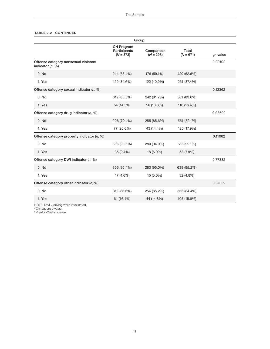#### TABLE 2.2—CONTINUED

| Group                                                     |                                                  |                           |                      |           |
|-----------------------------------------------------------|--------------------------------------------------|---------------------------|----------------------|-----------|
|                                                           | <b>CN Program</b><br>Participants<br>$(N = 373)$ | Comparison<br>$(N = 298)$ | Total<br>$(N = 671)$ | $p$ value |
| Offense category nonsexual violence<br>indicator $(n, %)$ |                                                  |                           |                      | 0.09102   |
| 0. No                                                     | 244 (65.4%)                                      | 176 (59.1%)               | 420 (62.6%)          |           |
| 1. Yes                                                    | 129 (34.6%)                                      | 122 (40.9%)               | 251 (37.4%)          |           |
| Offense category sexual indicator (n, %)                  |                                                  |                           |                      | 0.13362   |
| 0. No                                                     | 319 (85.5%)                                      | 242 (81.2%)               | 561 (83.6%)          |           |
| 1. Yes                                                    | 54 (14.5%)                                       | 56 (18.8%)                | 110 (16.4%)          |           |
| Offense category drug indicator $(n, %)$                  |                                                  |                           |                      | 0.03692   |
| 0. No                                                     | 296 (79.4%)                                      | 255 (85.6%)               | 551 (82.1%)          |           |
| 1. Yes                                                    | 77 (20.6%)                                       | 43 (14.4%)                | 120 (17.9%)          |           |
| Offense category property indicator (n, %)                |                                                  |                           |                      | 0.11062   |
| 0. No                                                     | 338 (90.6%)                                      | 280 (94.0%)               | 618 (92.1%)          |           |
| 1. Yes                                                    | 35 (9.4%)                                        | 18 (6.0%)                 | 53 (7.9%)            |           |
| Offense category DWI indicator (n, %)                     |                                                  |                           |                      | 0.77382   |
| 0. No                                                     | 356 (95.4%)                                      | 283 (95.0%)               | 639 (95.2%)          |           |
| 1. Yes                                                    | 17 (4.6%)                                        | 15 (5.0%)                 | 32 (4.8%)            |           |
| Offense category other indicator $(n, %)$                 |                                                  |                           |                      | 0.57352   |
| 0. No                                                     | 312 (83.6%)                                      | 254 (85.2%)               | 566 (84.4%)          |           |
| 1. Yes                                                    | 61 (16.4%)                                       | 44 (14.8%)                | 105 (15.6%)          |           |

NOTE: DWI = driving while intoxicated.

a Chi-square *p* value.

b Kruskal-Wallis *p* value.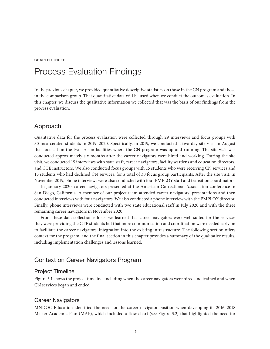## Process Evaluation Findings

In the previous chapter, we provided quantitative descriptive statistics on those in the CN program and those in the comparison group. That quantitative data will be used when we conduct the outcomes evaluation. In this chapter, we discuss the qualitative information we collected that was the basis of our findings from the process evaluation.

### Approach

Qualitative data for the process evaluation were collected through 29 interviews and focus groups with 30 incarcerated students in 2019–2020. Specifically, in 2019, we conducted a two-day site visit in August that focused on the two prison facilities where the CN program was up and running. The site visit was conducted approximately six months after the career navigators were hired and working. During the site visit, we conducted 15 interviews with state staff, career navigators, facility wardens and education directors, and CTE instructors. We also conducted focus groups with 15 students who were receiving CN services and 15 students who had declined CN services, for a total of 30 focus group participants. After the site visit, in November 2019, phone interviews were also conducted with four EMPLOY staff and transition coordinators.

In January 2020, career navigators presented at the American Correctional Association conference in San Diego, California. A member of our project team attended career navigators' presentations and then conducted interviews with four navigators. We also conducted a phone interview with the EMPLOY director. Finally, phone interviews were conducted with two state educational staff in July 2020 and with the three remaining career navigators in November 2020.

From these data-collection efforts, we learned that career navigators were well suited for the services they were providing the CTE students but that more communication and coordination were needed early on to facilitate the career navigators' integration into the existing infrastructure. The following section offers context for the program, and the final section in this chapter provides a summary of the qualitative results, including implementation challenges and lessons learned.

## Context on Career Navigators Program

#### Project Timeline

Figure 3.1 shows the project timeline, including when the career navigators were hired and trained and when CN services began and ended.

#### Career Navigators

MNDOC Education identified the need for the career navigator position when developing its 2016–2018 Master Academic Plan (MAP), which included a flow chart (see Figure 3.2) that highlighted the need for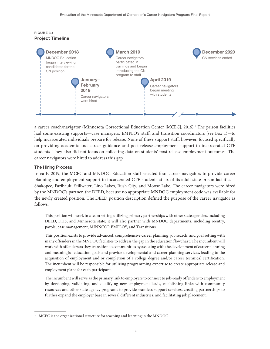

FIGURE 3.1 Project Timeline

a career coach/navigator (Minnesota Correctional Education Center [MCEC], 2016).<sup>1</sup> The prison facilities had some existing supports—case managers, EMPLOY staff, and transition coordinators (see Box 1)—to help incarcerated individuals prepare for release. None of these support staff, however, focused specifically on providing academic and career guidance and post-release employment support to incarcerated CTE students. They also did not focus on collecting data on students' post-release employment outcomes. The career navigators were hired to address this gap.

#### The Hiring Process

In early 2019, the MCEC and MNDOC Education staff selected four career navigators to provide career planning and employment support to incarcerated CTE students at six of its adult state prison facilities— Shakopee, Faribault, Stillwater, Lino Lakes, Rush City, and Moose Lake. The career navigators were hired by the MNDOC's partner, the DEED, because no appropriate MNDOC employment code was available for the newly created position. The DEED position description defined the purpose of the career navigator as follows:

This position will work in a team setting utilizing primary partnerships with other state agencies, including DEED, DHS, and Minnesota state; it will also partner with MNDOC departments, including reentry, parole, case management, MINNCOR EMPLOY, and Transitions.

This position exists to provide advanced, comprehensive career planning, job search, and goal setting with many offenders in the MNDOC facilities to address the gap in the education flowchart. The incumbent will work with offenders as they transition to communities by assisting with the development of career planning and meaningful education goals and provide developmental and career-planning services, leading to the acquisition of employment and or completion of a college degree and/or career technical certification. The incumbent will be responsible for utilizing programming expertise to create appropriate release and employment plans for each participant.

The incumbent will serve as the primary link to employers to connect to job-ready offenders to employment by developing, validating, and qualifying new employment leads, establishing links with community resources and other state agency programs to provide seamless support services, creating partnerships to further expand the employer base in several different industries, and facilitating job placement.

 $^1$  MCEC is the organizational structure for teaching and learning in the MNDOC.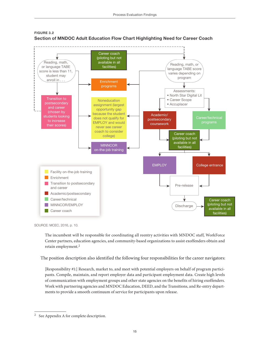



SOURCE: MCEC, 2016, p. 10.

The incumbent will be responsible for coordinating all reentry activities with MNDOC staff, WorkForce Center partners, education agencies, and community-based organizations to assist exoffenders obtain and retain employment.<sup>2</sup>

The position description also identified the following four responsibilities for the career navigators:

[Responsibility #1:] Research, market to, and meet with potential employers on behalf of program participants. Compile, maintain, and report employer data and participant employment data. Create high levels of communication with employment groups and other state agencies on the benefits of hiring exoffenders. Work with partnering agencies and MNDOC Education, DEED, and the Transitions, and Re-entry departments to provide a smooth continuum of service for participants upon release.

See Appendix A for complete description.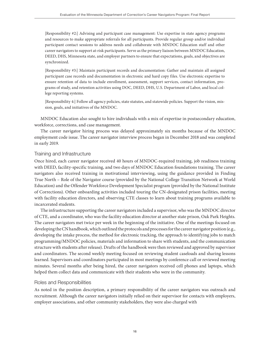[Responsibility #2:] Advising and participant case management: Use expertise in state agency programs and resources to make appropriate referrals for all participants. Provide regular group and/or individual participant contact sessions to address needs and collaborate with MNDOC Education staff and other career navigators to support at-risk participants. Serve as the primary liaison between MNDOC Education, DEED, DHS, Minnesota state, and employer partners to ensure that expectations, goals, and objectives are synchronized.

[Responsibility #3:] Maintain participant records and documentation: Gather and maintain all assigned participant case records and documentation in electronic and hard copy files. Use electronic expertise to ensure retention of data to include enrollment, assessment, support services, contact information, programs of study, and retention activities using DOC, DEED, DHS, U.S. Department of Labor, and local college reporting systems.

[Responsibility 4:] Follow all agency policies, state statutes, and statewide policies. Support the vision, mission, goals, and initiatives of the MNDOC.

MNDOC Education also sought to hire individuals with a mix of expertise in postsecondary education, workforce, corrections, and case management.

The career navigator hiring process was delayed approximately six months because of the MNDOC employment code issue. The career navigator interview process began in December 2018 and was completed in early 2019.

#### Training and Infrastructure

Once hired, each career navigator received 40 hours of MNDOC-required training, job readiness training with DEED, facility-specific training, and two days of MNDOC Education foundations training. The career navigators also received training in motivational interviewing, using the guidance provided in Finding True North – Role of the Navigator course (provided by the National College Transition Network at World Education) and the Offender Workforce Development Specialist program (provided by the National Institute of Corrections). Other onboarding activities included touring the CN-designated prison facilities, meeting with facility education directors, and observing CTE classes to learn about training programs available to incarcerated students.

The infrastructure supporting the career navigators included a supervisor, who was the MNDOC director of CTE, and a coordinator, who was the facility education director at another state prison, Oak Park Heights. The career navigators met twice per week in the beginning of the initiative. One of the meetings focused on developing the CN handbook, which outlined the protocols and processes for the career navigator position (e.g., developing the intake process, the method for electronic tracking, the approach to identifying jobs to match programming/MNDOC policies, materials and information to share with students, and the communication structure with students after release). Drafts of the handbook were then reviewed and approved by supervisor and coordinators. The second weekly meeting focused on reviewing student caseloads and sharing lessons learned. Supervisors and coordinators participated in most meetings by conference call or reviewed meeting minutes. Several months after being hired, the career navigators received cell phones and laptops, which helped them collect data and communicate with their students who were in the community.

#### Roles and Responsibilities

As noted in the position description, a primary responsibility of the career navigators was outreach and recruitment. Although the career navigators initially relied on their supervisor for contacts with employers, employer associations, and other community stakeholders, they were also charged with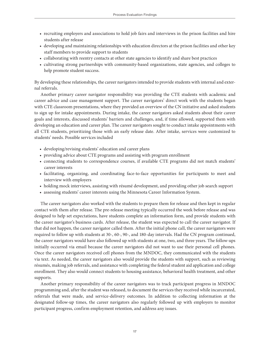- recruiting employers and associations to hold job fairs and interviews in the prison facilities and hire students after release
- developing and maintaining relationships with education directors at the prison facilities and other key staff members to provide support to students
- collaborating with reentry contacts at other state agencies to identify and share best practices
- cultivating strong partnerships with community-based organizations, state agencies, and colleges to help promote student success.

By developing these relationships, the career navigators intended to provide students with internal and external referrals.

Another primary career navigator responsibility was providing the CTE students with academic and career advice and case management support. The career navigators' direct work with the students began with CTE classroom presentations, where they provided an overview of the CN initiative and asked students to sign up for intake appointments. During intake, the career navigators asked students about their career goals and interests, discussed students' barriers and challenges, and, if time allowed, supported them with developing an education and career plan. The career navigators sought to conduct intake appointments with all CTE students, prioritizing those with an early release date. After intake, services were customized to students' needs. Possible services included

- developing/revising students' education and career plans
- providing advice about CTE programs and assisting with program enrollment
- connecting students to correspondence courses, if available CTE programs did not match students' career interests
- facilitating, organizing, and coordinating face-to-face opportunities for participants to meet and interview with employers
- holding mock interviews, assisting with résumé development, and providing other job search support
- assessing students' career interests using the Minnesota Career Information System.

The career navigators also worked with the students to prepare them for release and then kept in regular contact with them after release. The pre-release meeting typically occurred the week before release and was designed to help set expectations, have students complete an information form, and provide students with the career navigator's business cards. After release, the student was expected to call the career navigator. If that did not happen, the career navigator called them. After the initial phone call, the career navigators were required to follow up with students at 30-, 60-, 90-, and 180-day intervals. Had the CN program continued, the career navigators would have also followed up with students at one, two, and three years. The follow-ups initially occurred via email because the career navigators did not want to use their personal cell phones. Once the career navigators received cell phones from the MNDOC, they communicated with the students via text. As needed, the career navigators also would provide the students with support, such as reviewing résumés, making job referrals, and assistance with completing the federal student aid application and college enrollment. They also would connect students to housing assistance, behavioral health treatment, and other supports.

Another primary responsibility of the career navigators was to track participant progress in MNDOC programming and, after the student was released, to document the services they received while incarcerated, referrals that were made, and service-delivery outcomes. In addition to collecting information at the designated follow-up times, the career navigators also regularly followed up with employers to monitor participant progress, confirm employment retention, and address any issues.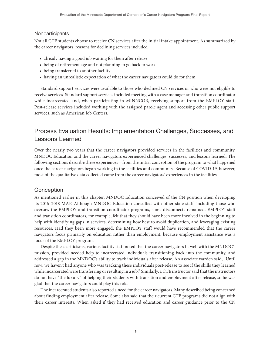#### **Nonparticipants**

Not all CTE students choose to receive CN services after the initial intake appointment. As summarized by the career navigators, reasons for declining services included

- already having a good job waiting for them after release
- being of retirement age and not planning to go back to work
- being transferred to another facility
- having an unrealistic expectation of what the career navigators could do for them.

Standard support services were available to those who declined CN services or who were not eligible to receive services. Standard support services included meeting with a case manager and transition coordinator while incarcerated and, when participating in MINNCOR, receiving support from the EMPLOY staff. Post-release services included working with the assigned parole agent and accessing other public support services, such as American Job Centers.

## Process Evaluation Results: Implementation Challenges, Successes, and Lessons Learned

Over the nearly two years that the career navigators provided services in the facilities and community, MNDOC Education and the career navigators experienced challenges, successes, and lessons learned. The following sections describe these experiences—from the initial conception of the program to what happened once the career navigators began working in the facilities and community. Because of COVID-19, however, most of the qualitative data collected came from the career navigators' experiences in the facilities.

## **Conception**

As mentioned earlier in this chapter, MNDOC Education conceived of the CN position when developing its 2016–2018 MAP. Although MNDOC Education consulted with other state staff, including those who oversaw the EMPLOY and transition coordinator programs, some disconnects remained. EMPLOY staff and transition coordinators, for example, felt that they should have been more involved in the beginning to help with identifying gaps in services, determining how best to avoid duplication, and leveraging existing resources. Had they been more engaged, the EMPLOY staff would have recommended that the career navigators focus primarily on education rather than employment, because employment assistance was a focus of the EMPLOY program.

Despite these criticisms, various facility staff noted that the career navigators fit well with the MNDOC's mission, provided needed help to incarcerated individuals transitioning back into the community, and addressed a gap in the MNDOC's ability to track individuals after release. An associate warden said, "Until now, we haven't had anyone who was tracking these individuals post-release to see if the skills they learned while incarcerated were transferring or resulting in a job." Similarly, a CTE instructor said that the instructors do not have "the luxury" of helping their students with transition and employment after release, so he was glad that the career navigators could play this role.

The incarcerated students also reported a need for the career navigators. Many described being concerned about finding employment after release. Some also said that their current CTE programs did not align with their career interests. When asked if they had received education and career guidance prior to the CN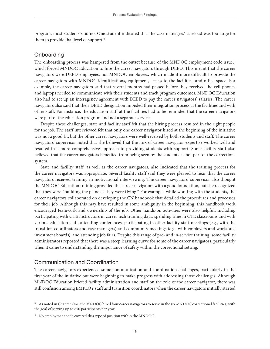program, most students said no. One student indicated that the case managers' caseload was too large for them to provide that level of support.3

#### Onboarding

The onboarding process was hampered from the outset because of the MNDOC employment code issue,<sup>4</sup> which forced MNDOC Education to hire the career navigators through DEED. This meant that the career navigators were DEED employees, not MNDOC employees, which made it more difficult to provide the career navigators with MNDOC identifications, equipment, access to the facilities, and office space. For example, the career navigators said that several months had passed before they received the cell phones and laptops needed to communicate with their students and track program outcomes. MNDOC Education also had to set up an interagency agreement with DEED to pay the career navigators' salaries. The career navigators also said that their DEED designation impeded their integration process at the facilities and with other staff. For instance, the education staff at the facilities had to be reminded that the career navigators were part of the education program and not a separate service.

Despite these challenges, state and facility staff felt that the hiring process resulted in the right people for the job. The staff interviewed felt that only one career navigator hired at the beginning of the initiative was not a good fit, but the other career navigators were well-received by both students and staff. The career navigators' supervisor noted that she believed that the mix of career navigator expertise worked well and resulted in a more comprehensive approach to providing students with support. Some facility staff also believed that the career navigators benefited from being seen by the students as not part of the corrections system.

State and facility staff, as well as the career navigators, also indicated that the training process for the career navigators was appropriate. Several facility staff said they were pleased to hear that the career navigators received training in motivational interviewing. The career navigators' supervisor also thought the MNDOC Education training provided the career navigators with a good foundation, but she recognized that they were "building the plane as they were flying." For example, while working with the students, the career navigators collaborated on developing the CN handbook that detailed the procedures and processes for their job. Although this may have resulted in some ambiguity in the beginning, this handbook work encouraged teamwork and ownership of the job. Other hands-on activities were also helpful, including participating with CTE instructors in career tech training days, spending time in CTE classrooms and with various education staff, attending conferences, participating in other facility staff meetings (e.g., with the transition coordinators and case managers) and community meetings (e.g., with employers and workforce investment boards), and attending job fairs. Despite this range of pre- and in-service training, some facility administrators reported that there was a steep learning curve for some of the career navigators, particularly when it came to understanding the importance of safety within the correctional setting.

#### Communication and Coordination

The career navigators experienced some communication and coordination challenges, particularly in the first year of the initiative but were beginning to make progress with addressing those challenges. Although MNDOC Education briefed facility administration and staff on the role of the career navigator, there was still confusion among EMPLOY staff and transition coordinators when the career navigators initially started

<sup>&</sup>lt;sup>3</sup> As noted in Chapter One, the MNDOC hired four career navigators to serve in the six MNDOC correctional facilities, with the goal of serving up to 650 participants per year.

<sup>&</sup>lt;sup>4</sup> No employment code covered this type of position within the MNDOC.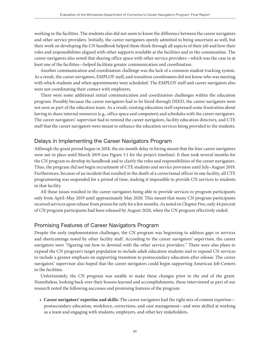working in the facilities. The students also did not seem to know the difference between the career navigators and other service providers. Initially, the career navigators openly admitted to being uncertain as well, but their work on developing the CN handbook helped them think through all aspects of their job and how their roles and responsibilities aligned with other supports available at the facilities and in the communities. The career navigators also noted that sharing office space with other service providers—which was the case in at least one of the facilities—helped facilitate greater communication and coordination.

Another communication and coordination challenge was the lack of a common student tracking system. As a result, the career navigators, EMPLOY staff, and transition coordinators did not know who was meeting with which students and when appointments were scheduled. The EMPLOY staff and career navigators also were not coordinating their contact with employers.

There were some additional initial communication and coordination challenges within the education program. Possibly because the career navigators had to be hired through DEED, the career navigators were not seen as part of the education team. As a result, existing education staff expressed some frustration about having to share internal resources (e.g., office space and computers) and schedules with the career navigators. The career navigators' supervisor had to remind the career navigators, facility education directors, and CTE staff that the career navigators were meant to enhance the education services being provided to the students.

### Delays in Implementing the Career Navigators Program

Although the grant period began in 2018, the six-month delay in hiring meant that the four career navigators were not in place until March 2019 (see Figure 3.1 for the project timeline). It then took several months for the CN program to develop its handbook and to clarify the roles and responsibilities of the career navigators. Thus, the program did not begin recruitment of CTE students and service provision until July–August 2019. Furthermore, because of an incident that resulted in the death of a correctional officer in one facility, all CTE programming was suspended for a period of time, making it impossible to provide CN services to students in that facility.

All these issues resulted in the career navigators being able to provide services to program participants only from April–May 2019 until approximately May 2020. This meant that many CN program participants received services upon release from prison for only for a few months. As noted in Chapter Five, only 44 percent of CN program participants had been released by August 2020, when the CN program effectively ended.

### Promising Features of Career Navigators Program

Despite the early implementation challenges, the CN program was beginning to address gaps in services and shortcomings noted by other facility staff. According to the career navigators' supervisor, the career navigators were "figuring out how to dovetail with the other service providers." There were also plans to expand the CN program's target population to include adult education students and to expand CN services to include a greater emphasis on supporting transition to postsecondary education after release. The career navigators' supervisor also hoped that the career navigators could begin supporting American Job Centers in the facilities.

Unfortunately, the CN program was unable to make these changes prior to the end of the grant. Nonetheless, looking back over their lessons learned and accomplishments, those interviewed as part of our research noted the following successes and promising features of the program:

• **Career navigators' expertise and skills:** The career navigators had the right mix of content expertise postsecondary education, workforce, corrections, and case management—and were skilled at working as a team and engaging with students, employers, and other key stakeholders.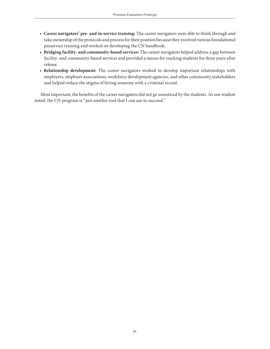- **Career navigators' pre- and in-service training:** The career navigators were able to think through and take ownership of the protocols and process for their position because they received various foundational preservice training and worked on developing the CN handbook.
- **Bridging facility- and community-based services:** The career navigators helped address a gap between facility- and community-based services and provided a means for tracking students for three years after release.
- **Relationship development:** The career navigators worked to develop important relationships with employers, employer associations, workforce development agencies, and other community stakeholders and helped reduce the stigma of hiring someone with a criminal record.

Most important, the benefits of the career navigators did not go unnoticed by the students. As one student noted, the CN program is "just another tool that I can use to succeed."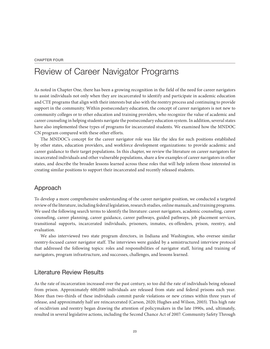## Review of Career Navigator Programs

As noted in Chapter One, there has been a growing recognition in the field of the need for career navigators to assist individuals not only when they are incarcerated to identify and participate in academic education and CTE programs that align with their interests but also with the reentry process and continuing to provide support in the community. Within postsecondary education, the concept of career navigators is not new to community colleges or to other education and training providers, who recognize the value of academic and career counseling in helping students navigate the postsecondary education system. In addition, several states have also implemented these types of programs for incarcerated students. We examined how the MNDOC CN program compared with these other efforts.

The MNDOC's concept for the career navigator role was like the idea for such positions established by other states, education providers, and workforce development organizations: to provide academic and career guidance to their target populations. In this chapter, we review the literature on career navigators for incarcerated individuals and other vulnerable populations, share a few examples of career navigators in other states, and describe the broader lessons learned across these roles that will help inform those interested in creating similar positions to support their incarcerated and recently released students.

## Approach

To develop a more comprehensive understanding of the career navigator position, we conducted a targeted review of the literature, including federal legislation, research studies, online manuals, and training programs. We used the following search terms to identify the literature: career navigators, academic counseling, career counseling, career planning, career guidance, career pathways, guided pathways, job placement services, transitional supports, incarcerated individuals, prisoners, inmates, ex-offenders, prison, reentry, and evaluation.

We also interviewed two state program directors, in Indiana and Washington, who oversee similar reentry-focused career navigator staff. The interviews were guided by a semistructured interview protocol that addressed the following topics: roles and responsibilities of navigator staff, hiring and training of navigators, program infrastructure, and successes, challenges, and lessons learned.

## Literature Review Results

As the rate of incarceration increased over the past century, so too did the rate of individuals being released from prison. Approximately 600,000 individuals are released from state and federal prisons each year. More than two-thirds of these individuals commit parole violations or new crimes within three years of release, and approximately half are reincarcerated (Carson, 2020; Hughes and Wilson, 2003). This high rate of recidivism and reentry began drawing the attention of policymakers in the late 1990s, and, ultimately, resulted in several legislative actions, including the Second Chance Act of 2007: Community Safety Through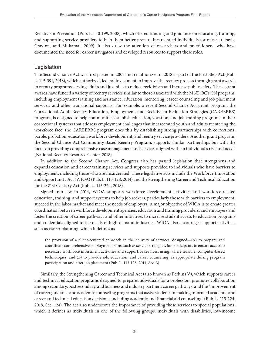Recidivism Prevention (Pub. L. 110-199, 2008), which offered funding and guidance on educating, training, and supporting service providers to help them better prepare incarcerated individuals for release (Travis, Crayton, and Mukamal, 2009). It also drew the attention of researchers and practitioners, who have documented the need for career navigators and developed resources to support these roles.

#### Legislation

The Second Chance Act was first passed in 2007 and reauthorized in 2018 as part of the First Step Act (Pub. L. 115-391, 2018), which authorized, federal investment to improve the reentry process through grant awards to reentry programs serving adults and juveniles to reduce recidivism and increase public safety. These grant awards have funded a variety of reentry services similar to those associated with the MNDOC's CN program, including employment training and assistance, education, mentoring, career counseling and job placement services, and other transitional supports. For example, a recent Second Chance Act grant program, the Correctional Adult Reentry Education, Employment, and Recidivism Reduction Strategies (CAREERRS) program, is designed to help communities establish education, vocation, and job training programs in their correctional systems that address employment challenges that incarcerated youth and adults reentering the workforce face; the CAREERRS program does this by establishing strong partnerships with corrections, parole, probation, education, workforce development, and reentry service providers. Another grant program, the Second Chance Act Community-Based Reentry Program, supports similar partnerships but with the focus on providing comprehensive case management and services aligned with an individual's risk and needs (National Reentry Resource Center, 2018).

In addition to the Second Chance Act, Congress also has passed legislation that strengthens and expands education and career training services and supports provided to individuals who have barriers to employment, including those who are incarcerated. These legislative acts include the Workforce Innovation and Opportunity Act (WIOA) (Pub. L. 113-128, 2014) and the Strengthening Career and Technical Education for the 21st Century Act (Pub. L. 115-224, 2018).

Signed into law in 2014, WIOA supports workforce development activities and workforce-related education, training, and support systems to help job seekers, particularly those with barriers to employment, succeed in the labor market and meet the needs of employers. A major objective of WIOA is to create greater coordination between workforce development agencies, education and training providers, and employers and foster the creation of career pathways and other initiatives to increase student access to education programs and credentials aligned to the needs of high-demand industries. WIOA also encourages support activities, such as career planning, which it defines as

the provision of a client-centered approach in the delivery of services, designed—(A) to prepare and coordinate comprehensive employment plans, such as service strategies, for participants to ensure access to necessary workforce investment activities and supportive services, using, where feasible, computer-based technologies; and (B) to provide job, education, and career counseling, as appropriate during program participation and after job placement (Pub. L. 113-128, 2014, Sec. 3).

Similarly, the Strengthening Career and Technical Act (also known as Perkins V), which supports career and technical education programs designed to prepare individuals for a profession, promotes collaboration among secondary, postsecondary, and business and industry partners; career pathways; and the "improvement of career guidance and academic counseling programs that assist students in making informed academic and career and technical education decisions, including academic and financial aid counseling" (Pub. L. 115-224, 2018, Sec. 124). The act also underscores the importance of providing these services to special populations, which it defines as individuals in one of the following groups: individuals with disabilities; low-income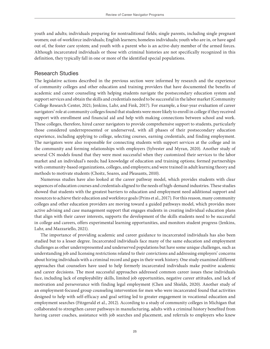youth and adults; individuals preparing for nontraditional fields; single parents, including single pregnant women; out-of-workforce individuals; English learners; homeless individuals; youth who are in, or have aged out of, the foster care system; and youth with a parent who is an active-duty member of the armed forces. Although incarcerated individuals or those with criminal histories are not specifically recognized in this definition, they typically fall in one or more of the identified special populations.

#### Research Studies

The legislative actions described in the previous section were informed by research and the experience of community colleges and other education and training providers that have documented the benefits of academic and career counseling with helping students navigate the postsecondary education system and support services and obtain the skills and credentials needed to be successful in the labor market (Community College Research Center, 2021; Jenkins, Lahr, and Fink, 2017). For example, a four-year evaluation of career navigators' role at community colleges found that students were more likely to enroll in college if they received support with enrollment and financial aid and help with making connections between school and work. These colleges, therefore, hired career navigators to provide comprehensive support to students, particularly those considered underrepresented or underserved, with all phases of their postsecondary education experience, including applying to college, selecting courses, earning credentials, and finding employment. The navigators were also responsible for connecting students with support services at the college and in the community and forming relationships with employers (Sylvester and Myran, 2020). Another study of several CN models found that they were most successful when they customized their services to the labor market and an individual's needs; had knowledge of education and training options; formed partnerships with community-based organizations, colleges, and employers; and were trained in adult learning theory and methods to motivate students (Choitz, Soares, and Pleasants, 2010).

Numerous studies have also looked at the career pathway model, which provides students with clear sequences of education courses and credentials aligned to the needs of high-demand industries. These studies showed that students with the greatest barriers to education and employment need additional support and resources to achieve their education and workforce goals (Prins et al., 2017). For this reason, many community colleges and other education providers are moving toward a guided pathways model, which provides more active advising and case management support that engages students in creating individual education plans that align with their career interests, supports the development of the skills students need to be successful in college and careers, offers experimental learning opportunities, and monitors student progress (Jenkins, Lahr, and Mazzariello, 2021).

The importance of providing academic and career guidance to incarcerated individuals has also been studied but to a lesser degree. Incarcerated individuals face many of the same education and employment challenges as other underrepresented and underserved populations but have some unique challenges, such as understanding job and licensing restrictions related to their convictions and addressing employers' concerns about hiring individuals with a criminal record and gaps in their work history. One study examined different approaches that counselors have used to help formerly incarcerated individuals make positive academic and career decisions. The most successful approaches addressed common career issues these individuals face, including lack of employability skills, limited job opportunities, negative career attitudes, and lack of motivation and perseverance with finding legal employment (Chen and Shields, 2020). Another study of an employment-focused group counseling intervention for men who were incarcerated found that activities designed to help with self-efficacy and goal setting led to greater engagement in vocational education and employment searches (Fitzgerald et al., 2012). According to a study of community colleges in Michigan that collaborated to strengthen career pathways in manufacturing, adults with a criminal history benefited from having career coaches, assistance with job searches and placement, and referrals to employers who knew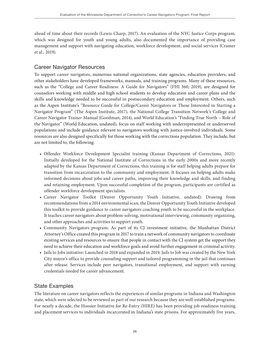ahead of time about their records (Lewis-Charp, 2017). An evaluation of the NYC Justice Corps program, which was designed for youth and young adults, also documented the importance of providing case management and support with navigating education, workforce development, and social services (Cramer et al., 2019).

# Career Navigator Resources

To support career navigators, numerous national organizations, state agencies, education providers, and other stakeholders have developed frameworks, manuals, and training programs. Many of these resources, such as the "College and Career Readiness: A Guide for Navigators" (FHI 360, 2019), are designed for counselors working with middle and high school students to develop education and career plans and the skills and knowledge needed to be successful in postsecondary education and employment. Others, such as the Aspen Institute's "Resource Guide for College/Career Navigators or Those Interested in Starting a Navigator Program" (The Aspen Institute, 2017), the National College Transition Network's College and Career Navigator Train*er* Manual (Goodman, 2014), and World Education's "Finding True North – Role of the Navigator" (World Education, undated), focus on staff working with underrepresented or underserved populations and include guidance relevant to navigators working with justice-involved individuals. Some resources are also designed specifically for those working with the corrections population. They include, but are not limited to, the following:

- Offender Workforce Development Specialist training (Kansas Department of Corrections, 2021): Initially developed for the National Institute of Corrections in the early 2000s and more recently adapted by the Kansas Department of Corrections, this training is for staff helping adults prepare for transition from incarceration to the community and employment. It focuses on helping adults make informed decisions about jobs and career paths, improving their knowledge and skills, and finding and retaining employment. Upon successful completion of the program, participants are certified as offender workforce development specialists.
- Career Navigator Toolkit (Denver Opportunity Youth Initiative, undated): Drawing from recommendations from a 2014 environmental scan, the Denver Opportunity Youth Initiative developed this toolkit to provide guidance to career navigators coaching youth to be successful in the workplace. It teaches career navigators about problem-solving, motivational interviewing, community organizing, and other approaches and activities to support youth.
- Community Navigators program: As part of its CJ investment initiative, the Manhattan District Attorney's Office created this program in 2017 to train a network of community navigators to coordinate existing services and resources to ensure that people in contact with the CJ system get the support they need to achieve their education and workforce goals and avoid further engagement in criminal activity.
- Jails to Jobs initiative: Launched in 2018 and expanded in 2019, Jails to Job was created by the New York City mayor's office to provide counseling support and tailored programming in the jail that continues after release. Services include peer navigators, transitional employment, and support with earning credentials needed for career advancement.

# State Examples

The literature on career navigators reflects the experiences of similar programs in Indiana and Washington state, which were selected to be reviewed as part of our research because they are well-established programs. For nearly a decade, the Hoosier Initiative for Re-Entry (HIRE) has been providing job-readiness training and placement services to individuals incarcerated in Indiana's state prisons. For approximately five years,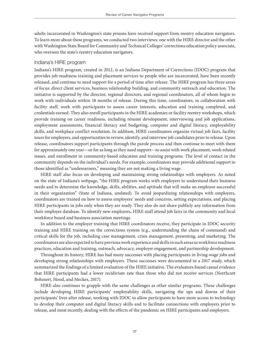adults incarcerated in Washington's state prisons have received support from reentry education navigators. To learn more about these programs, we conducted two interviews: one with the HIRE director and the other with Washington State Board for Community and Technical Colleges' corrections education policy associate, who oversees the state's reentry education navigators.

#### Indiana's HIRE program

Indiana's HIRE program, created in 2012, is an Indiana Department of Corrections (IDOC) program that provides job-readiness training and placement services to people who are incarcerated, have been recently released, and continue to need support for a period of time after release. The HIRE program has three areas of focus: direct client services, business relationship building, and community outreach and education. The initiative is supported by the director, regional directors, and regional coordinators, all of whom begin to work with individuals within 18 months of release. During this time, coordinators, in collaboration with facility staff, work with participants to assess career interests, education and training completed, and credentials earned. They also enroll participants in the HIRE academies or facility reentry workshops, which provide training on career readiness, including résumé development, interviewing and job applications, employment assessments, financial literacy and budgeting, computer and digital literacy, employability skills, and workplace conflict resolution. In addition, HIRE coordinators organize virtual job fairs, facility tours for employers, and opportunities to review, identify, and interview job candidates prior to release. Upon release, coordinators support participants through the parole process and then continue to meet with them for approximately one year—or for as long as they need support—to assist with work placement, work-related issues, and enrollment in community-based education and training programs. The level of contact in the community depends on the individual's needs. For example, coordinators may provide additional support to those identified as "underearners," meaning they are not making a living wage.

HIRE staff also focus on developing and maintaining strong relationships with employers. As noted on the state of Indiana's webpage, "the HIRE program works with employers to understand their business needs and to determine the knowledge, skills, abilities, and aptitude that will make an employee successful in their organization" (State of Indiana, undated). To avoid jeopardizing relationships with employers, coordinators are trained on how to assess employers' needs and concerns, setting expectations, and placing HIRE participants in jobs only when they are ready. They also do not share publicly any information from their employer database. To identify new employers, HIRE staff attend job fairs in the community and local workforce board and business association meetings.

In addition to the employer training that HIRE coordinators receive, they participate in IDOC security training and HIRE training on the corrections system (e.g., understanding the chain of command) and critical skills for the job, including case management, crisis management, presenting, and marketing. The coordinators are also expected to have previous work experience and skills in such areas as workforce readiness practices, education and training, outreach, advocacy, employer engagement, and partnership development.

Throughout its history, HIRE has had many successes with placing participants in living-wage jobs and developing strong relationships with employers. These successes were documented in a 2017 study, which summarized the findings of a limited evaluation of the HIRE initiative. The evaluators found casual evidence that HIRE participants had a lower recidivism rate than those who did not receive services (Northcutt Bohmert, Hood, and Meckes, 2017).

HIRE also continues to grapple with the same challenges as other similar programs. These challenges include developing HIRE participants' employability skills, navigating the ups and downs of their participants' lives after release, working with IDOC to allow participants to have more access to technology to develop their computer and digital literacy skills and to facilitate connections with employers prior to release, and most recently, dealing with the effects of the pandemic on HIRE participants and employers.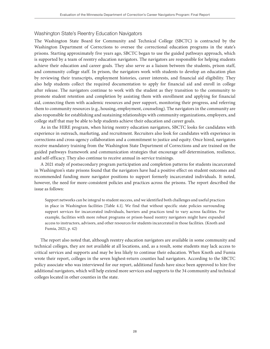### Washington State's Reentry Education Navigators

The Washington State Board for Community and Technical College (SBCTC) is contracted by the Washington Department of Corrections to oversee the correctional education programs in the state's prisons. Starting approximately five years ago, SBCTC began to use the guided pathways approach, which is supported by a team of reentry education navigators. The navigators are responsible for helping students achieve their education and career goals. They also serve as a liaison between the students, prison staff, and community college staff. In prison, the navigators work with students to develop an education plan by reviewing their transcripts, employment histories, career interests, and financial aid eligibility. They also help students collect the required documentation to apply for financial aid and enroll in college after release. The navigators continue to work with the student as they transition to the community to promote student retention and completion by assisting them with enrollment and applying for financial aid, connecting them with academic resources and peer support, monitoring their progress, and referring them to community resources (e.g., housing, employment, counseling). The navigators in the community are also responsible for establishing and sustaining relationships with community organizations, employers, and college staff that may be able to help students achieve their education and career goals.

As in the HIRE program, when hiring reentry education navigators, SBCTC looks for candidates with experience in outreach, marketing, and recruitment. Recruiters also look for candidates with experience in corrections and cross-agency collaboration and a commitment to justice and equity. Once hired, navigators receive mandatory training from the Washington State Department of Corrections and are trained on the guided pathways framework and communication strategies that encourage self-determination, resilience, and self-efficacy. They also continue to receive annual in-service trainings.

A 2021 study of postsecondary program participation and completion patterns for students incarcerated in Washington's state prisons found that the navigators have had a positive effect on student outcomes and recommended funding more navigator positions to support formerly incarcerated individuals. It noted, however, the need for more-consistent policies and practices across the prisons. The report described the issue as follows:

Support networks can be integral to student success, and we identified both challenges and useful practices in place in Washington facilities [Table 4.1]. We find that without specific state policies surrounding support services for incarcerated individuals, barriers and practices tend to vary across facilities. For example, facilities with more robust programs or prison-based reentry navigators might have expanded access to instructors, advisors, and other resources for students incarcerated in those facilities. (Knoth and Fumia, 2021, p. 42)

The report also noted that, although reentry education navigators are available in some community and technical colleges, they are not available at all locations, and, as a result, some students may lack access to critical services and supports and may be less likely to continue their education. When Knoth and Fumia wrote their report, colleges in the seven highest-return counties had navigators. According to the SBCTC policy associate who was interviewed for our report, additional funds have since been approved to hire five additional navigators, which will help extend more services and supports to the 34 community and technical colleges located in other counties in the state.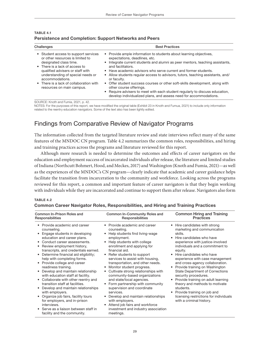| <b>TABLE 4.1</b>                                              |  |  |  |
|---------------------------------------------------------------|--|--|--|
| <b>Persistence and Completion: Support Networks and Peers</b> |  |  |  |

| Challenges                              | <b>Best Practices</b>                                                                                                                             |
|-----------------------------------------|---------------------------------------------------------------------------------------------------------------------------------------------------|
| • Student access to support services    | • Provide ample information to students about learning objectives,                                                                                |
| or other resources is limited to        | expectations, deadlines, etc.                                                                                                                     |
| designated class time.                  | • Integrate current students and alumni as peer mentors, teaching assistants,                                                                     |
| • There is a lack of access to          | and facilitators.                                                                                                                                 |
| qualified advisers or staff with        | • Have academic advisors who serve current and former students.                                                                                   |
| understanding of special needs or       | • Allow students regular access to advisors, tutors, teaching assistants, and/                                                                    |
| accommodations.                         | or faculty.                                                                                                                                       |
| • There is a lack of collaboration with | • Offer student success courses or other soft-skills development, along with                                                                      |
| resources on main campus.               | other course offerings.                                                                                                                           |
|                                         | • Require advisers to meet with each student regularly to discuss education,<br>develop individualized plans, and assess need for accommodations. |

SOURCE: Knoth and Fumia, 2021, p. 42.

NOTES: For the purposes of this report, we have modified the original table (Exhibit 23 in Knoth and Fumua, 2021) to include only information related to the reentry education navigators. Some of the text also has been lightly edited.

# Findings from Comparative Review of Navigator Programs

The information collected from the targeted literature review and state interviews reflect many of the same features of the MNDOC CN program. Table 4.2 summarizes the common roles, responsibilities, and hiring and training practices across the programs and literature reviewed for this report.

Although more research is needed to determine the outcomes and effects of career navigators on the education and employment success of incarcerated individuals after release, the literature and limited studies of Indiana (Northcutt Bohmert, Hood, and Meckes, 2017) and Washington (Knoth and Fumia, 2021)—as well as the experiences of the MNDOC's CN program—clearly indicate that academic and career guidance helps facilitate the transition from incarceration to the community and workforce. Looking across the programs reviewed for this report, a common and important feature of career navigators is that they begin working with individuals while they are incarcerated and continue to support them after release. Navigators also form

#### TABLE 4.2

| Common In-Prison Roles and<br>Responsibilities                                                                                                                                                                                                                                                                                                                                                                                                                                                                                                                                                                                                                                                                                    | Common In-Community Roles and<br><b>Responsibilities</b>                                                                                                                                                                                                                                                                                                                                                                                                                                                                                                                                                                                                                             | Common Hiring and Training<br><b>Practices</b>                                                                                                                                                                                                                                                                                                                                                                                                                                                                                                                                           |
|-----------------------------------------------------------------------------------------------------------------------------------------------------------------------------------------------------------------------------------------------------------------------------------------------------------------------------------------------------------------------------------------------------------------------------------------------------------------------------------------------------------------------------------------------------------------------------------------------------------------------------------------------------------------------------------------------------------------------------------|--------------------------------------------------------------------------------------------------------------------------------------------------------------------------------------------------------------------------------------------------------------------------------------------------------------------------------------------------------------------------------------------------------------------------------------------------------------------------------------------------------------------------------------------------------------------------------------------------------------------------------------------------------------------------------------|------------------------------------------------------------------------------------------------------------------------------------------------------------------------------------------------------------------------------------------------------------------------------------------------------------------------------------------------------------------------------------------------------------------------------------------------------------------------------------------------------------------------------------------------------------------------------------------|
| • Provide academic and career<br>counseling.<br>Engage students in developing<br>education and career plans.<br>Conduct career assessments.<br>Review employment history,<br>transcripts, and credentials earned.<br>Determine financial aid eligibility;<br>help with completing forms.<br>Provide college and career<br>$\bullet$<br>readiness training.<br>Develop and maintain relationship<br>with education staff at facility.<br>Collaborate with other reentry and<br>transition staff at facilities.<br>Develop and maintain relationships<br>with employers.<br>Organize job fairs, facility tours<br>for employers, and in-prison<br>interviews.<br>Serve as a liaison between staff in<br>facility and the community. | Provide academic and career<br>counseling.<br>Help students find living-wage<br>٠<br>employment.<br>Help students with college<br>٠<br>enrollment and applying for<br>financial aid.<br>• Refer students to support<br>services to assist with housing,<br>transportation, and other needs.<br>Monitor student progress.<br>$\bullet$<br>Cultivate strong relationships with<br>community-based organizations<br>and state/local agencies.<br>Form partnership with community<br>supervision and coordinate<br>services.<br>Develop and maintain relationships<br>with employers.<br>Attend job fairs and workforce<br>$\bullet$<br>investment and industry association<br>meetings. | Hire candidates with strong<br>٠<br>marketing and communication<br>skills.<br>Hire candidates who have<br>experience with justice-involved<br>individuals and a commitment to<br>equity.<br>Hire candidates who have<br>experience with case management<br>and cross-agency collaboration.<br>Provide training on Washington<br><b>State Department of Corrections</b><br>security procedures.<br>Provide training on adult learning<br>theory and methods to motivate<br>students.<br>Provide training on job and<br>licensing restrictions for individuals<br>with a criminal history. |

|  |  | Common Career Navigator Roles, Responsibilities, and Hiring and Training Practices |  |  |
|--|--|------------------------------------------------------------------------------------|--|--|
|  |  |                                                                                    |  |  |
|  |  |                                                                                    |  |  |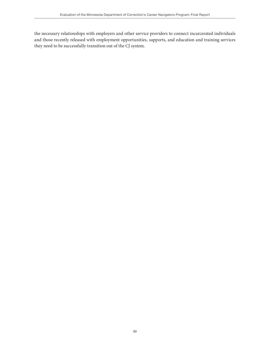the necessary relationships with employers and other service providers to connect incarcerated individuals and those recently released with employment opportunities, supports, and education and training services they need to be successfully transition out of the CJ system.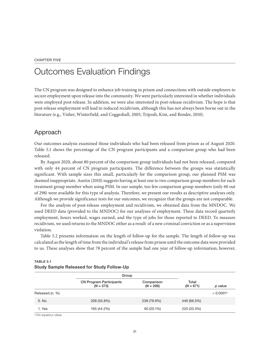# Outcomes Evaluation Findings

The CN program was designed to enhance job training in prison and connections with outside employers to secure employment upon release into the community. We were particularly interested in whether individuals were employed post-release. In addition, we were also interested in post-release recidivism. The hope is that post-release employment will lead to reduced recidivism, although this has not always been borne out in the literature (e.g., Visher, Winterfield, and Coggeshall, 2005; Tripodi, Kim, and Bender, 2010).

# Approach

Our outcomes analysis examined those individuals who had been released from prison as of August 2020. Table 5.1 shows the percentage of the CN program participants and a comparison group who had been released.

By August 2020, about 80 percent of the comparison group individuals had not been released, compared with only 44 percent of CN program participants. The difference between the groups was statistically significant. With sample sizes this small, particularly for the comparison group, our planned PSM was deemed inappropriate. Austin (2010) suggests having at least one to two comparison group members for each treatment group member when using PSM. In our sample, too few comparison group members (only 60 out of 298) were available for this type of analysis. Therefore, we present our results as descriptive analyses only. Although we provide significance tests for our outcomes, we recognize that the groups are not comparable.

For the analysis of post-release employment and recidivism, we obtained data from the MNDOC. We used DEED data (provided to the MNDOC) for our analyses of employment. These data record quarterly employment, hours worked, wages earned, and the type of jobs for those reported to DEED. To measure recidivism, we used returns to the MNDOC either as a result of a new criminal conviction or as a supervision violation.

Table 5.2 presents information on the length of follow-up for the sample. The length of follow-up was calculated as the length of time from the individual's release from prison until the outcome data were provided to us. These analyses show that 78 percent of the sample had one year of follow-up information; however,

|                 | Group                                         |                           |                      |                       |
|-----------------|-----------------------------------------------|---------------------------|----------------------|-----------------------|
|                 | <b>CN Program Participants</b><br>$(N = 373)$ | Comparison<br>$(N = 298)$ | Total<br>$(N = 671)$ | p value               |
| Released (n, %) |                                               |                           |                      | $< 0.0001^{\text{a}}$ |
| 0. No           | 208 (55.8%)                                   | 238 (79.9%)               | 446 (66.5%)          |                       |
| 1. Yes          | 165 (44.2%)                                   | 60 (20.1%)                | 225 (33.5%)          |                       |

#### TABLE 5.1 Study Sample Released for Study Follow-Up

a Chi-square *p* value.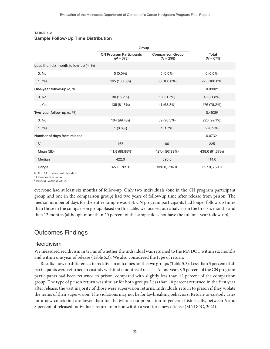#### TABLE 5.2 Sample Follow-Up Time Distribution

|                                        | Group                                         |                                        |                       |
|----------------------------------------|-----------------------------------------------|----------------------------------------|-----------------------|
|                                        | <b>CN Program Participants</b><br>$(N = 373)$ | <b>Comparison Group</b><br>$(N = 298)$ | Total<br>$(N = 671)$  |
| Less than six-month follow-up $(n, %)$ |                                               |                                        |                       |
| 0. No                                  | $0(0.0\%)$                                    | $0(0.0\%)$                             | $0(0.0\%)$            |
| 1. Yes                                 | 165 (100.0%)                                  | 60 (100.0%)                            | 225 (100.0%)          |
| One-year follow-up $(n, %)$            |                                               |                                        | $0.0302$ <sup>a</sup> |
| 0. No                                  | 30 (18.2%)                                    | 19 (31.7%)                             | 49 (21.8%)            |
| 1. Yes                                 | 135 (81.8%)                                   | 41 (68.3%)                             | 176 (78.2%)           |
| Two-year follow-up $(n, %)$            |                                               |                                        | $0.4535^{\circ}$      |
| 0. No                                  | 164 (99.4%)                                   | 59 (98.3%)                             | 223 (99.1%)           |
| 1. Yes                                 | $1(0.6\%)$                                    | 1(1.7%)                                | $2(0.9\%)$            |
| Number of days from release            |                                               |                                        | 0.0732 <sup>b</sup>   |
| $\overline{N}$                         | 165                                           | 60                                     | 225                   |
| Mean (SD)                              | 441.8 (88.85%)                                | 427.4 (97.99%)                         | 438.0 (91.37%)        |
| Median                                 | 422.0                                         | 395.5                                  | 414.0                 |
| Range                                  | 327.0, 769.0                                  | 330.0, 736.0                           | 327.0, 769.0          |

 $\overline{\text{NOTE: SD}} = \text{standard deviation.}$ 

Chi-square *p* value.

b Kruskal-Wallis *p* value.

everyone had at least six months of follow-up. Only two individuals (one in the CN program participant group and one in the comparison group) had two years of follow-up time after release from prison. The median number of days for the entire sample was 414. CN program participants had longer follow-up times than those in the comparison group. Based on this table, we focused our analysis on the first six months and then 12 months (although more than 20 percent of the sample does not have the full one-year follow-up).

# Outcomes Findings

# Recidivism

We measured recidivism in terms of whether the individual was returned to the MNDOC within six months and within one year of release (Table 5.3). We also considered the type of return.

Results show no differences in recidivism outcomes for the two groups (Table 5.3). Less than 5 percent of all participants were returned to custody within six months of release. At one year, 8.5 percent of the CN program participants had been returned to prison, compared with slightly less than 12 percent of the comparison group. The type of prison return was similar for both groups. Less than 10 percent returned in the first year after release; the vast majority of those were supervision returns. Individuals return to prison if they violate the terms of their supervision. The violations may not be for lawbreaking behaviors. Return-to-custody rates for a new conviction are lower than for the Minnesota population in general; historically, between 6 and 8 percent of released individuals return to prison within a year for a new offense (MNDOC, 2021).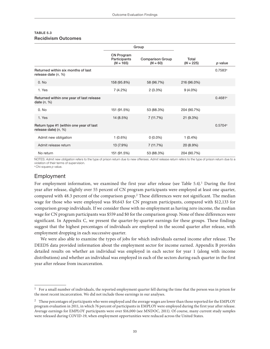#### TABLE 5.3 Recidivism Outcomes

|                                                                   | Group                                            |                                       |                      |                       |
|-------------------------------------------------------------------|--------------------------------------------------|---------------------------------------|----------------------|-----------------------|
|                                                                   | <b>CN Program</b><br>Participants<br>$(N = 165)$ | <b>Comparison Group</b><br>$(N = 60)$ | Total<br>$(N = 225)$ | p value               |
| Returned within six months of last<br>release date $(n, %)$       |                                                  |                                       |                      | 0.7583a               |
| 0. No                                                             | 158 (95.8%)                                      | 58 (96.7%)                            | 216 (96.0%)          |                       |
| 1. Yes                                                            | 7(4.2%)                                          | 2(3.3%)                               | $9(4.0\%)$           |                       |
| Returned within one year of last release<br>date $(n, %)$         |                                                  |                                       |                      | $0.4681$ <sup>a</sup> |
| 0. No                                                             | 151 (91.5%)                                      | 53 (88.3%)                            | 204 (90.7%)          |                       |
| 1. Yes                                                            | 14 (8.5%)                                        | 7 (11.7%)                             | 21 (9.3%)            |                       |
| Return type #1 (within one year of last<br>release date) $(n, %)$ |                                                  |                                       |                      | 0.5704a               |
| Admit new obligation                                              | $1(0.6\%)$                                       | $0(0.0\%)$                            | 1(0.4%)              |                       |
| Admit release return                                              | 13 (7.9%)                                        | 7 (11.7%)                             | 20 (8.9%)            |                       |
| No return                                                         | 151 (91.5%)                                      | 53 (88.3%)                            | 204 (90.7%)          |                       |

NOTES: *Admit new obligation* refers to the type of prison return due to new offenses. *Admit release return* refers to the type of prison return due to a violation of their terms of supervision.

a Chi-square *p* value.

# Employment

For employment information, we examined the first year after release (see Table 5.4).<sup>1</sup> During the first year after release, slightly over 55 percent of CN program participants were employed at least one quarter, compared with 48.3 percent of the comparison group.<sup>2</sup> These differences were not significant. The median wage for those who were employed was \$9,643 for CN program participants, compared with \$12,133 for comparison group individuals. If we consider those with no employment as having zero income, the median wage for CN program participants was \$559 and \$0 for the comparison group. None of these differences were significant. In Appendix C, we present the quarter-by-quarter earnings for these groups. These findings suggest that the highest percentages of individuals are employed in the second quarter after release, with employment dropping in each successive quarter.

We were also able to examine the types of jobs for which individuals earned income after release. The DEEDS data provided information about the employment sector for income earned. Appendix B provides detailed results on whether an individual was employed in each sector for year 1 (along with income distributions) and whether an individual was employed in each of the sectors during each quarter in the first year after release from incarceration.

<sup>&</sup>lt;sup>1</sup> For a small number of individuals, the reported employment quarter fell during the time that the person was in prison for the most recent incarceration. We did not include those earnings in our analyses.

<sup>&</sup>lt;sup>2</sup> These percentages of participants who were employed and the average wages are lower than those reported for the EMPLOY program evaluation in 2011, in which 76 percent of participants in EMPLOY were employed during the first year after release. Average earnings for EMPLOY participants were over \$16,000 (see MNDOC, 2011). Of course, many current study samples were released during COVID-19, when employment opportunities were reduced across the United States.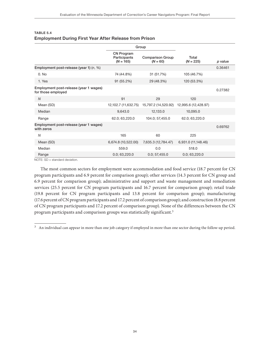#### TABLE 5.4 Employment During First Year After Release from Prison

|                                                              | Group                                            |                                       |                      |         |
|--------------------------------------------------------------|--------------------------------------------------|---------------------------------------|----------------------|---------|
|                                                              | <b>CN Program</b><br>Participants<br>$(N = 165)$ | <b>Comparison Group</b><br>$(N = 60)$ | Total<br>$(N = 225)$ | p value |
| Employment post-release (year 1) $(n, %)$                    |                                                  |                                       |                      | 0.36461 |
| 0. No                                                        | 74 (44.8%)                                       | 31 (51.7%)                            | 105 (46.7%)          |         |
| 1. Yes                                                       | 91 (55.2%)                                       | 29 (48.3%)                            | 120 (53.3%)          |         |
| Employment post-release (year 1 wages)<br>for those employed |                                                  |                                       |                      | 0.27382 |
| $\overline{N}$                                               | 91                                               | 29                                    | 120                  |         |
| Mean (SD)                                                    | 12,102.7 (11,632.75)                             | 15,797.2 (14,520.92)                  | 12,995.6 (12,428.97) |         |
| Median                                                       | 9,643.0                                          | 12,133.0                              | 10,095.0             |         |
| Range                                                        | 62.0; 63,220.0                                   | 104.0; 57,455.0                       | 62.0; 63,220.0       |         |
| Employment post-release (year 1 wages)<br>with zeros         |                                                  |                                       |                      | 0.69762 |
| N                                                            | 165                                              | 60                                    | 225                  |         |
| Mean (SD)                                                    | 6,674.8 (10,522.00)                              | 7,635.3 (12,784.47)                   | 6,931.0 (11,148.46)  |         |
| Median                                                       | 559.0                                            | 0.0                                   | 518.0                |         |
| Range                                                        | 0.0; 63,220.0                                    | 0.0; 57,455.0                         | 0.0; 63,220.0        |         |

NOTE: SD = standard deviation.

The most common sectors for employment were accommodation and food service (18.7 percent for CN program participants and 6.9 percent for comparison group); other services (14.3 percent for CN group and 6.9 percent for comparison group); administrative and support and waste management and remediation services (25.5 percent for CN program participants and 16.7 percent for comparison group); retail trade (19.8 percent for CN program participants and 13.8 percent for comparison group); manufacturing (17.6 percent of CN program participants and 17.2 percent of comparison group); and construction (8.8 percent of CN program participants and 17.2 percent of comparison group). None of the differences between the CN program participants and comparison groups was statistically significant.<sup>3</sup>

 $3$  An individual can appear in more than one job category if employed in more than one sector during the follow-up period.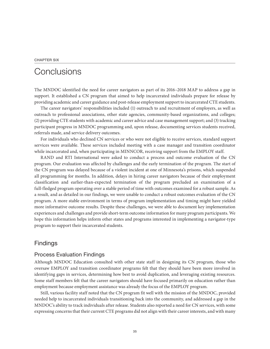# **Conclusions**

The MNDOC identified the need for career navigators as part of its 2016–2018 MAP to address a gap in support. It established a CN program that aimed to help incarcerated individuals prepare for release by providing academic and career guidance and post-release employment support to incarcerated CTE students.

The career navigators' responsibilities included (1) outreach to and recruitment of employers, as well as outreach to professional associations, other state agencies, community-based organizations, and colleges; (2) providing CTE students with academic and career advice and case management support; and (3) tracking participant progress in MNDOC programming and, upon release, documenting services students received, referrals made, and service delivery outcomes.

For individuals who declined CN services or who were not eligible to receive services, standard support services were available. These services included meeting with a case manager and transition coordinator while incarcerated and, when participating in MINNCOR, receiving support from the EMPLOY staff.

RAND and RTI International were asked to conduct a process and outcome evaluation of the CN program. Our evaluation was affected by challenges and the early termination of the program. The start of the CN program was delayed because of a violent incident at one of Minnesota's prisons, which suspended all programming for months. In addition, delays in hiring career navigators because of their employment classification and earlier-than-expected termination of the program precluded an examination of a full-fledged program operating over a stable period of time with outcomes examined for a robust sample. As a result, and as detailed in our findings, we were unable to conduct a robust outcomes evaluation of the CN program. A more stable environment in terms of program implementation and timing might have yielded more informative outcome results. Despite these challenges, we were able to document key implementation experiences and challenges and provide short-term outcome information for many program participants. We hope this information helps inform other states and programs interested in implementing a navigator-type program to support their incarcerated students.

# Findings

# Process Evaluation Findings

Although MNDOC Education consulted with other state staff in designing its CN program, those who oversaw EMPLOY and transition coordinator programs felt that they should have been more involved in identifying gaps in services, determining how best to avoid duplication, and leveraging existing resources. Some staff members felt that the career navigators should have focused primarily on education rather than employment because employment assistance was already the focus of the EMPLOY program.

Still, various facility staff noted that the CN program fit well with the mission of the MNDOC, provided needed help to incarcerated individuals transitioning back into the community, and addressed a gap in the MNDOC's ability to track individuals after release. Students also reported a need for CN services, with some expressing concerns that their current CTE programs did not align with their career interests, and with many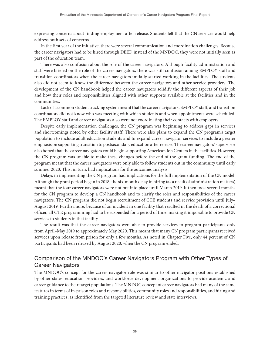expressing concerns about finding employment after release. Students felt that the CN services would help address both sets of concerns.

In the first year of the initiative, there were several communication and coordination challenges. Because the career navigators had to be hired through DEED instead of the MNDOC, they were not initially seen as part of the education team.

There was also confusion about the role of the career navigators. Although facility administration and staff were briefed on the role of the career navigators, there was still confusion among EMPLOY staff and transition coordinators when the career navigators initially started working in the facilities. The students also did not seem to know the difference between the career navigators and other service providers. The development of the CN handbook helped the career navigators solidify the different aspects of their job and how their roles and responsibilities aligned with other supports available at the facilities and in the communities.

Lack of a common student tracking system meant that the career navigators, EMPLOY staff, and transition coordinators did not know who was meeting with which students and when appointments were scheduled. The EMPLOY staff and career navigators also were not coordinating their contacts with employers.

Despite early implementation challenges, the CN program was beginning to address gaps in services and shortcomings noted by other facility staff. There were also plans to expand the CN program's target population to include adult education students and to expand career navigator services to include a greater emphasis on supporting transition to postsecondary education after release. The career navigators' supervisor also hoped that the career navigators could begin supporting American Job Centers in the facilities. However, the CN program was unable to make these changes before the end of the grant funding. The end of the program meant that the career navigators were only able to follow students out in the community until early summer 2020. This, in turn, had implications for the outcomes analysis.

Delays in implementing the CN program had implications for the full implementation of the CN model. Although the grant period began in 2018, the six-month delay in hiring (as a result of administration matters) meant that the four career navigators were not put into place until March 2019. It then took several months for the CN program to develop a CN handbook and to clarify the roles and responsibilities of the career navigators. The CN program did not begin recruitment of CTE students and service provision until July– August 2019. Furthermore, because of an incident in one facility that resulted in the death of a correctional officer, all CTE programming had to be suspended for a period of time, making it impossible to provide CN services to students in that facility.

The result was that the career navigators were able to provide services to program participants only from April–May 2019 to approximately May 2020. This meant that many CN program participants received services upon release from prison for only a few months. As noted in Chapter Five, only 44 percent of CN participants had been released by August 2020, when the CN program ended.

# Comparison of the MNDOC's Career Navigators Program with Other Types of Career Navigators

The MNDOC's concept for the career navigator role was similar to other navigator positions established by other states, education providers, and workforce development organizations to provide academic and career guidance to their target populations. The MNDOC concept of career navigators had many of the same features in terms of in-prison roles and responsibilities, community roles and responsibilities, and hiring and training practices, as identified from the targeted literature review and state interviews.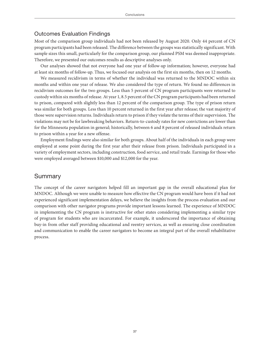# Outcomes Evaluation Findings

Most of the comparison group individuals had not been released by August 2020. Only 44 percent of CN program participants had been released. The difference between the groups was statistically significant. With sample sizes this small, particularly for the comparison group, our planned PSM was deemed inappropriate. Therefore, we presented our outcomes results as descriptive analyses only.

Our analyses showed that not everyone had one year of follow-up information; however, everyone had at least six months of follow-up. Thus, we focused our analysis on the first six months, then on 12 months.

We measured recidivism in terms of whether the individual was returned to the MNDOC within six months and within one year of release. We also considered the type of return. We found no differences in recidivism outcomes for the two groups. Less than 5 percent of CN program participants were returned to custody within six months of release. At year 1, 8.5 percent of the CN program participants had been returned to prison, compared with slightly less than 12 percent of the comparison group. The type of prison return was similar for both groups. Less than 10 percent returned in the first year after release; the vast majority of those were supervision returns. Individuals return to prison if they violate the terms of their supervision. The violations may not be for lawbreaking behaviors. Return-to-custody rates for new convictions are lower than for the Minnesota population in general; historically, between 6 and 8 percent of released individuals return to prison within a year for a new offense.

Employment findings were also similar for both groups. About half of the individuals in each group were employed at some point during the first year after their release from prison. Individuals participated in a variety of employment sectors, including construction, food service, and retail trade. Earnings for those who were employed averaged between \$10,000 and \$12,000 for the year.

# **Summary**

The concept of the career navigators helped fill an important gap in the overall educational plan for MNDOC. Although we were unable to measure how effective the CN program would have been if it had not experienced significant implementation delays, we believe the insights from the process evaluation and our comparison with other navigator programs provide important lessons learned. The experience of MNDOC in implementing the CN program is instructive for other states considering implementing a similar type of program for students who are incarcerated. For example, it underscored the importance of obtaining buy-in from other staff providing educational and reentry services, as well as ensuring close coordination and communication to enable the career navigators to become an integral part of the overall rehabilitative process.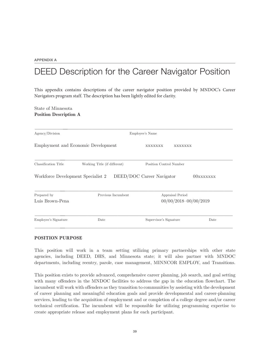# DEED Description for the Career Navigator Position

This appendix contains descriptions of the career navigator position provided by MNDOC's Career Navigators program staff. The description has been lightly edited for clarity.

State of Minnesota **Position Description A**

| Agency/Division                    |                                     | Employee's Name                           |           |
|------------------------------------|-------------------------------------|-------------------------------------------|-----------|
|                                    | Employment and Economic Development | XXXXXXX<br>XXXXXXX                        |           |
| Classification Title               | Working Title (if different)        | Position Control Number                   |           |
| Workforce Development Specialist 2 |                                     | DEED/DOC Career Navigator                 | 00xxxxxxx |
| Prepared by<br>Luis Brown-Pena     | Previous Incumbent                  | Appraisal Period<br>00/00/2018-00/00/2019 |           |
| Employee's Signature               | Date                                | Supervisor's Signature                    | Date      |

#### **POSITION PURPOSE**

This position will work in a team setting utilizing primary partnerships with other state agencies, including DEED, DHS, and Minnesota state; it will also partner with MNDOC departments, including reentry, parole, case management, MINNCOR EMPLOY, and Transitions.

This position exists to provide advanced, comprehensive career planning, job search, and goal setting with many offenders in the MNDOC facilities to address the gap in the education flowchart. The incumbent will work with offenders as they transition to communities by assisting with the development of career planning and meaningful education goals and provide developmental and career-planning services, leading to the acquisition of employment and or completion of a college degree and/or career technical certification. The incumbent will be responsible for utilizing programming expertise to create appropriate release and employment plans for each participant.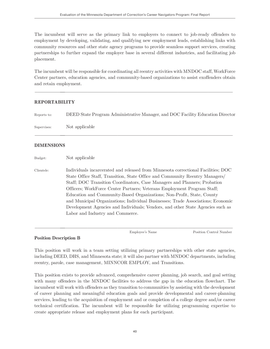The incumbent will serve as the primary link to employers to connect to job-ready offenders to employment by developing, validating, and qualifying new employment leads, establishing links with community resources and other state agency programs to provide seamless support services, creating partnerships to further expand the employer base in several different industries, and facilitating job placement.

The incumbent will be responsible for coordinating all reentry activities with MNDOC staff, WorkForce Center partners, education agencies, and community-based organizations to assist exoffenders obtain and retain employment.

#### **REPORTABILITY**

Reports to: DEED State Program Administrative Manager, and DOC Facility Education Director Supervises: Not applicable

 $\_$  . The contribution of the contribution of the contribution of the contribution of  $\mathcal{L}_\mathbf{u}$ 

# **DIMENSIONS**

Budget: Not applicable

Clientele: Individuals incarcerated and released from Minnesota correctional Facilities; DOC State Office Staff, Transition, State Office and Community Reentry Managers/ Staff; DOC Transition Coordinators, Case Managers and Planners; Probation Officers; WorkForce Center Partners; Veterans Employment Program Staff; Education and Community-Based Organizations; Non-Profit, State, County and Municipal Organizations; Individual Businesses; Trade Associations; Economic Development Agencies and Individuals; Vendors, and other State Agencies such as Labor and Industry and Commerce.

 $\_$  , and the set of the set of the set of the set of the set of the set of the set of the set of the set of the set of the set of the set of the set of the set of the set of the set of the set of the set of the set of th

Employee's Name Position Control Number

#### **Position Description B**

This position will work in a team setting utilizing primary partnerships with other state agencies, including DEED, DHS, and Minnesota state; it will also partner with MNDOC departments, including reentry, parole, case management, MINNCOR EMPLOY, and Transitions.

This position exists to provide advanced, comprehensive career planning, job search, and goal setting with many offenders in the MNDOC facilities to address the gap in the education flowchart. The incumbent will work with offenders as they transition to communities by assisting with the development of career planning and meaningful education goals and provide developmental and career-planning services, leading to the acquisition of employment and or completion of a college degree and/or career technical certification. The incumbent will be responsible for utilizing programming expertise to create appropriate release and employment plans for each participant.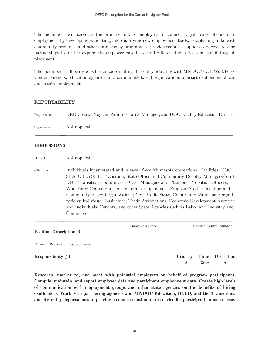The incumbent will serve as the primary link to employers to connect to job-ready offenders to employment by developing, validating, and qualifying new employment leads, establishing links with community resources and other state agency programs to provide seamless support services, creating partnerships to further expand the employer base in several different industries, and facilitating job placement.

The incumbent will be responsible for coordinating all reentry activities with MNDOC staff, WorkForce Center partners, education agencies, and community-based organizations to assist exoffenders obtain and retain employment.

#### **REPORTABILITY**

Reports to: DEED State Program Administrative Manager, and DOC Facility Education Director Supervises: Not applicable  $\_$  . The contribution of the contribution of the contribution of the contribution of  $\mathcal{L}_\mathbf{u}$ 

#### **DIMENSIONS**

Budget: Not applicable

Clientele: Individuals incarcerated and released from Minnesota correctional Facilities; DOC State Office Staff, Transition, State Office and Community Reentry Managers/Staff; DOC Transition Coordinators, Case Managers and Planners; Probation Officers; WorkForce Center Partners; Veterans Employment Program Staff; Education and Community-Based Organizations; Non-Profit, State, County and Municipal Organi zations; Individual Businesses; Trade Associations; Economic Development Agencies and Individuals; Vendors, and other State Agencies such as Labor and Industry and Commerce.

Employee's Name Position Control Number

Principal Responsibilities and Tasks

**Position Description B**

Responsibility #1 **Priority Time Discretion A 30% A** 

**Research, market to, and meet with potential employers on behalf of program participants. Compile, maintain, and report employer data and participant employment data. Create high levels of communication with employment groups and other state agencies on the benefits of hiring exoffenders. Work with partnering agencies and MNDOC Education, DEED, and the Transitions, and Re-entry departments to provide a smooth continuum of service for participants upon release.**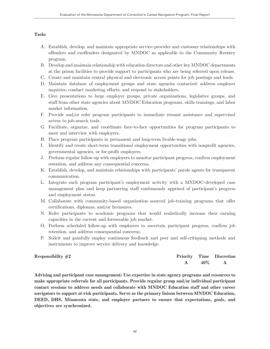#### **Tasks**

- A. Establish, develop, and maintain appropriate service-provider and customer relationships with offenders and exoffenders designated by MNDOC as applicable to the Community Reentry program.
- B. Develop and maintain relationship with education directors and other key MNDOC departments at the prison facilities to provide support to participants who are being referred upon release.
- C. Create and maintain central physical and electronic access points for job postings and leads.
- D. Maintain database of employment groups and state agencies contacted: address employer inquiries; conduct marketing efforts; and respond to stakeholders.
- E. Give presentations to large employer groups, private organizations, legislative groups, and staff from other state agencies about MNDOC Education programs, skills trainings, and labor market information.
- F. Provide and/or refer program participants to immediate résumé assistance and supervised access to job-search tools.
- G. Facilitate, organize, and coordinate face-to-face opportunities for program participants to meet and interview with employers.
- H. Place program participants in permanent and long-term livable-wage jobs.
- I. Identify and create short-term transitional employment opportunities with nonprofit agencies, governmental agencies, or for-profit employers.
- J. Perform regular follow-up with employers to monitor participant progress, confirm employment retention, and address any consequential concerns.
- K. Establish, develop, and maintain relationships with participants' parole agents for transparent communication.
- L. Integrate each program participant's employment activity with a MNDOC-developed case management plan and keep partnering staff continuously apprised of participant's progress and employment status.
- M. Collaborate with community-based organization–sourced job-training programs that offer certifications, diplomas, and/or licensures.
- N. Refer participants to academic programs that would realistically increase their earning capacities in the current and foreseeable job market.
- O. Perform scheduled follow-up with employers to ascertain participant progress, confirm job retention, and address consequential concerns.
- P. Solicit and gainfully employ continuous feedback and peer and self-critiquing methods and instruments to improve service delivery and knowledge.

#### **Responsibility**  $\#2$

| ${\rm Responsibility}\ \#2$ |  | <b>Priority Time Discretion</b> |
|-----------------------------|--|---------------------------------|
|                             |  | $\mathbf{A}$ 40% $\mathbf{A}$   |

**Advising and participant case management: Use expertise in state agency programs and resources to make appropriate referrals for all participants. Provide regular group and/or individual participant contact sessions to address needs and collaborate with MNDOC Education staff and other career navigators to support at-risk participants. Serve as the primary liaison between MNDOC Education, DEED, DHS, Minnesota state, and employer partners to ensure that expectations, goals, and objectives are synchronized.**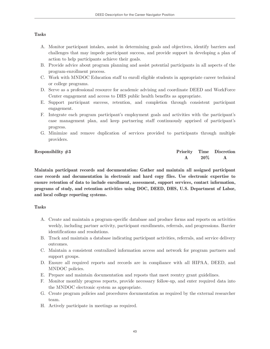#### **Tasks**

- A. Monitor participant intakes, assist in determining goals and objectives, identify barriers and challenges that may impede participant success, and provide support in developing a plan of action to help participants achieve their goals.
- B. Provide advice about program planning and assist potential participants in all aspects of the program-enrollment process.
- C. Work with MNDOC Education staff to enroll eligible students in appropriate career technical or college programs.
- D. Serve as a professional resource for academic advising and coordinate DEED and WorkForce Center engagement and access to DHS public health benefits as appropriate.
- E. Support participant success, retention, and completion through consistent participant engagement.
- F. Integrate each program participant's employment goals and activities with the participant's case management plan, and keep partnering staff continuously apprised of participant's progress.
- G. Minimize and remove duplication of services provided to participants through multiple providers.

| ${\rm Responsibility}\ \#3$ |  | Priority Time Discretion      |
|-----------------------------|--|-------------------------------|
|                             |  | $\mathbf{A}$ 20% $\mathbf{A}$ |

**Maintain participant records and documentation: Gather and maintain all assigned participant case records and documentation in electronic and hard copy files. Use electronic expertise to ensure retention of data to include enrollment, assessment, support services, contact information, programs of study, and retention activities using DOC, DEED, DHS, U.S. Department of Labor, and local college reporting systems.** 

#### **Tasks**

- A. Create and maintain a program-specific database and produce forms and reports on activities weekly, including partner activity, participant enrollments, referrals, and progressions. Barrier identifications and resolutions.
- B. Track and maintain a database indicating participant activities, referrals, and service delivery outcomes.
- C. Maintain a consistent centralized information access and network for program partners and support groups.
- D. Ensure all required reports and records are in compliance with all HIPAA, DEED, and MNDOC policies.
- E. Prepare and maintain documentation and reposts that meet reentry grant guidelines.
- F. Monitor monthly progress reports, provide necessary follow-up, and enter required data into the MNDOC electronic system as appropriate.
- G. Create program policies and procedures documentation as required by the external researcher team.
- H. Actively participate in meetings as required.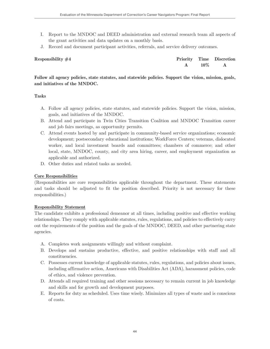- I. Report to the MNDOC and DEED administration and external research team all aspects of the grant activities and data updates on a monthly basis.
- J. Record and document participant activities, referrals, and service delivery outcomes.

#### **Responsibility** #4

| ${\rm Responsibility}\ \#4$ |                  | Priority Time Discretion |
|-----------------------------|------------------|--------------------------|
|                             | $\mathbf{A}$ 10% |                          |

**Follow all agency policies, state statutes, and statewide policies. Support the vision, mission, goals, and initiatives of the MNDOC.** 

#### **Tasks**

- A. Follow all agency policies, state statutes, and statewide policies. Support the vision, mission, goals, and initiatives of the MNDOC.
- B. Attend and participate in Twin Cities Transition Coalition and MNDOC Transition career and job fairs meetings, as opportunity permits.
- C. Attend events hosted by and participate in community-based service organizations; economic development; postsecondary educational institutions; WorkForce Centers; veterans, dislocated worker, and local investment boards and committees; chambers of commerce; and other local, state, MNDOC, county, and city area hiring, career, and employment organization as applicable and authorized.
- D. Other duties and related tasks as needed.

### **Core Responsibilities**

(Responsibilities are core responsibilities applicable throughout the department. These statements and tasks should be adjusted to fit the position described. Priority is not necessary for these responsibilities.)

#### **Responsibility Statement**

The candidate exhibits a professional demeanor at all times, including positive and effective working relationships. They comply with applicable statutes, rules, regulations, and policies to effectively carry out the requirements of the position and the goals of the MNDOC, DEED, and other partnering state agencies.

- A. Completes work assignments willingly and without complaint.
- B. Develops and sustains productive, effective, and positive relationships with staff and all constituencies.
- C. Possesses current knowledge of applicable statutes, rules, regulations, and policies about issues, including affirmative action, Americans with Disabilities Act (ADA), harassment policies, code of ethics, and violence prevention.
- D. Attends all required training and other sessions necessary to remain current in job knowledge and skills and for growth and development purposes.
- E. Reports for duty as scheduled. Uses time wisely. Minimizes all types of waste and is conscious of costs.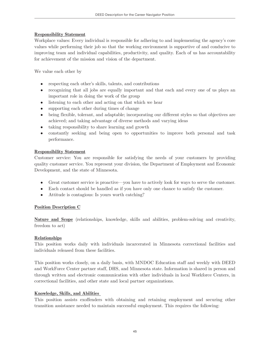#### **Responsibility Statement**

Workplace values: Every individual is responsible for adhering to and implementing the agency's core values while performing their job so that the working environment is supportive of and conducive to improving team and individual capabilities, productivity, and quality. Each of us has accountability for achievement of the mission and vision of the department.

We value each other by

- respecting each other's skills, talents, and contributions
- recognizing that all jobs are equally important and that each and every one of us plays an important role in doing the work of the group
- listening to each other and acting on that which we hear
- supporting each other during times of change
- being flexible, tolerant, and adaptable; incorporating our different styles so that objectives are achieved; and taking advantage of diverse methods and varying ideas
- taking responsibility to share learning and growth
- constantly seeking and being open to opportunities to improve both personal and task performance.

#### **Responsibility Statement**

Customer service: You are responsible for satisfying the needs of your customers by providing quality customer service. You represent your division, the Department of Employment and Economic Development, and the state of Minnesota.

- Great customer service is proactive—you have to actively look for ways to serve the customer.
- Each contact should be handled as if you have only one chance to satisfy the customer.
- Attitude is contagious: Is yours worth catching?

# **Position Description C**

**Nature and Scope** (relationships, knowledge, skills and abilities, problem-solving and creativity, freedom to act)

# **Relationships**

This position works daily with individuals incarcerated in Minnesota correctional facilities and individuals released from these facilities.

This position works closely, on a daily basis, with MNDOC Education staff and weekly with DEED and WorkForce Center partner staff, DHS, and Minnesota state. Information is shared in person and through written and electronic communication with other individuals in local Workforce Centers, in correctional facilities, and other state and local partner organizations.

# **Knowledge, Skills, and Abilities**

This position assists exoffenders with obtaining and retaining employment and securing other transition assistance needed to maintain successful employment. This requires the following: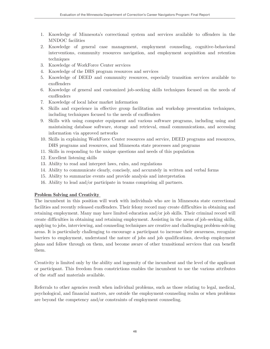- 1. Knowledge of Minnesota's correctional system and services available to offenders in the MNDOC facilities
- 2. Knowledge of general case management, employment counseling, cognitive-behavioral interventions, community resources navigation, and employment acquisition and retention techniques
- 3. Knowledge of WorkForce Center services
- 4. Knowledge of the DHS program resources and services
- 5. Knowledge of DEED and community resources, especially transition services available to exoffenders
- 6. Knowledge of general and customized job-seeking skills techniques focused on the needs of exoffenders
- 7. Knowledge of local labor market information
- 8. Skills and experience in effective group facilitation and workshop presentation techniques, including techniques focused to the needs of exoffenders
- 9. Skills with using computer equipment and various software programs, including using and maintaining database software, storage and retrieval, email communications, and accessing information via approved networks
- 10. Skills in explaining WorkForce Center resources and service, DEED programs and resources, DHS programs and resources, and Minnesota state processes and programs
- 11. Skills in responding to the unique questions and needs of this population
- 12. Excellent listening skills
- 13. Ability to read and interpret laws, rules, and regulations
- 14. Ability to communicate clearly, concisely, and accurately in written and verbal forms
- 15. Ability to summarize events and provide analysis and interpretation
- 16. Ability to lead and/or participate in teams comprising all partners.

# **Problem Solving and Creativity**

The incumbent in this position will work with individuals who are in Minnesota state correctional facilities and recently released exoffenders. Their felony record may create difficulties in obtaining and retaining employment. Many may have limited education and/or job skills. Their criminal record will create difficulties in obtaining and retaining employment. Assisting in the areas of job-seeking skills, applying to jobs, interviewing, and counseling techniques are creative and challenging problem-solving areas. It is particularly challenging to encourage a participant to increase their awareness, recognize barriers to employment, understand the nature of jobs and job qualifications, develop employment plans and follow through on them, and become aware of other transitional services that can benefit them.

Creativity is limited only by the ability and ingenuity of the incumbent and the level of the applicant or participant. This freedom from constrictions enables the incumbent to use the various attributes of the staff and materials available.

Referrals to other agencies result when individual problems, such as those relating to legal, medical, psychological, and financial matters, are outside the employment-counseling realm or when problems are beyond the competency and/or constraints of employment counseling.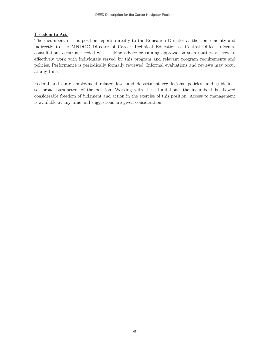#### **Freedom to Act**

The incumbent in this position reports directly to the Education Director at the home facility and indirectly to the MNDOC Director of Career Technical Education at Central Office. Informal consultations occur as needed with seeking advice or gaining approval on such matters as how to effectively work with individuals served by this program and relevant program requirements and policies. Performance is periodically formally reviewed. Informal evaluations and reviews may occur at any time.

Federal and state employment–related laws and department regulations, policies, and guidelines set broad parameters of the position. Working with these limitations, the incumbent is allowed considerable freedom of judgment and action in the exercise of this position. Access to management is available at any time and suggestions are given consideration.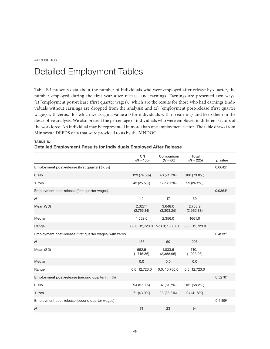#### APPENDIX B

# Detailed Employment Tables

Table B.1 presents data about the number of individuals who were employed after release by quarter, the number employed during the first year after release, and earnings. Earnings are presented two ways: (1) "employment post-release (first quarter wages)," which are the results for those who had earnings (individuals without earnings are dropped from the analysis) and (2) "employment post-release (first quarter wages) with zeros," for which we assign a value a 0 for individuals with no earnings and keep them in the descriptive analysis. We also present the percentage of individuals who were employed in different sectors of the workforce. An individual may be represented in more than one employment sector. The table draws from Minnesota DEEDS data that were provided to us by the MNDOC.

|                                                          | CN<br>$(N = 165)$     | Comparison<br>$(N = 60)$ | Total<br>$(N = 225)$  | p value               |
|----------------------------------------------------------|-----------------------|--------------------------|-----------------------|-----------------------|
| Employment post-release (first quarter) $(n, %)$         |                       |                          |                       | $0.6642$ <sup>a</sup> |
| 0. No                                                    | 123 (74.5%)           | 43 (71.7%)               | 166 (73.8%)           |                       |
| 1. Yes                                                   | 42 (25.5%)            | 17 (28.3%)               | 59 (26.2%)            |                       |
| Employment post-release (first quarter wages)            |                       |                          |                       | 0.0364 <sup>b</sup>   |
| Ν                                                        | 42                    | 17                       | 59                    |                       |
| Mean (SD)                                                | 2,327.7<br>(2,765.14) | 3,648.0<br>(3,303.25)    | 2,708.2<br>(2,962.88) |                       |
| Median                                                   | 1,052.0               | 2,356.0                  | 1661.0                |                       |
| Range                                                    | 66.0; 12,723.0        | 573.0; 10,750.0          | 66.0; 12,723.0        |                       |
| Employment post-release (first quarter wages) with zeros |                       |                          |                       | 0.4232 <sup>b</sup>   |
| N                                                        | 165                   | 60                       | 225                   |                       |
| Mean (SD)                                                | 592.5<br>(1,716.36)   | 1,033.6<br>(2,388.95)    | 710.1<br>(1,923.08)   |                       |
| Median                                                   | 0.0                   | 0.0                      | 0.0                   |                       |
| Range                                                    | 0.0; 12,723.0         | 0.0; 10,750.0            | 0.0; 12,723.0         |                       |
| Employment post-release (second quarter) $(n, %)$        |                       |                          |                       | 0.5276a               |
| 0. No                                                    | 94 (57.0%)            | 37 (61.7%)               | 131 (58.2%)           |                       |
| 1. Yes                                                   | 71 (43.0%)            | 23 (38.3%)               | 94 (41.8%)            |                       |
| Employment post-release (second quarter wages)           |                       |                          |                       | 0.4159 <sup>b</sup>   |
| $\overline{N}$                                           | 71                    | 23                       | 94                    |                       |

#### TABLE B.1 Detailed Employment Results for Individuals Employed After Release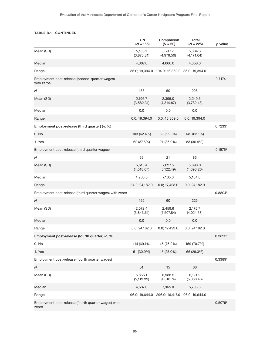|                                                              | CN<br>$(N = 165)$      | Comparison<br>$(N = 60)$                      | Total<br>$(N = 225)$   | p value             |
|--------------------------------------------------------------|------------------------|-----------------------------------------------|------------------------|---------------------|
| Mean (SD)                                                    | 5,105.1<br>(3,873.81)  | 6,247.7<br>(4,976.50)                         | 5,384.6<br>(4, 171.04) |                     |
| Median                                                       | 4,307.0                | 4,666.0                                       | 4,358.0                |                     |
| Range                                                        |                        | 35.0; 19,394.0 104.0; 16,369.0 35.0; 19,394.0 |                        |                     |
| Employment post-release (second-quarter wages)<br>with zeros |                        |                                               |                        | 0.7174b             |
| Ν                                                            | 165                    | 60                                            | 225                    |                     |
| Mean (SD)                                                    | 2,196.7<br>(3,582.31)  | 2,395.0<br>(4,314.87)                         | 2,249.6<br>(3,782.48)  |                     |
| Median                                                       | 0.0                    | 0.0                                           | 0.0                    |                     |
| Range                                                        | 0.0; 19,394.0          | 0.0; 16,369.0                                 | 0.0; 19,394.0          |                     |
| Employment post-release (third quarter) $(n, %)$             |                        |                                               |                        | 0.7233a             |
| 0. No                                                        | 103 (62.4%)            | 39 (65.0%)                                    | 142 (63.1%)            |                     |
| 1. Yes                                                       | 62 (37.6%)             | 21 (35.0%)                                    | 83 (36.9%)             |                     |
| Employment post-release (third quarter wages)                |                        |                                               |                        | 0.1976 <sup>b</sup> |
| Ν                                                            | 62                     | 21                                            | 83                     |                     |
| Mean (SD)                                                    | 5,515.4<br>(4, 518.67) | 7,027.5<br>(5, 122.49)                        | 5,898.0<br>(4,693.26)  |                     |
| Median                                                       | 4,965.0                | 7,165.0                                       | 5,104.0                |                     |
| Range                                                        | 34.0; 24,182.0         | 0.0; 17,423.0                                 | 0.0; 24,182.0          |                     |
| Employment post-release (third quarter wages) with zeros     |                        |                                               |                        | 0.8804 <sup>b</sup> |
| Ν                                                            | 165                    | 60                                            | 225                    |                     |
| Mean (SD)                                                    | 2,072.4<br>(3,843.61)  | 2,459.6<br>(4,507.84)                         | 2,175.7<br>(4,024.67)  |                     |
| Median                                                       | 0.0                    | 0.0                                           | 0.0                    |                     |
| Range                                                        | 0.0; 24,182.0          | 0.0; 17,423.0                                 | 0.0; 24,182.0          |                     |
| Employment post-release (fourth quarter) $(n, %)$            |                        |                                               |                        | 0.3893a             |
| 0. No                                                        | 114 (69.1%)            | 45 (75.0%)                                    | 159 (70.7%)            |                     |
| 1. Yes                                                       | 51 (30.9%)             | 15 (25.0%)                                    | 66 (29.3%)             |                     |
| Employment post-release (fourth quarter wages)               |                        |                                               |                        | 0.3389 <sup>b</sup> |
| N                                                            | 51                     | 15                                            | 66                     |                     |
| Mean (SD)                                                    | 5,866.1<br>(5, 119.39) | 6,988.5<br>(4, 818.74)                        | 6,121.2<br>(5,038.46)  |                     |
| Median                                                       | 4,537.0                | 7,965.0                                       | 5,706.5                |                     |
| Range                                                        | 96.0; 19,644.0         | 296.0; 16,417.0                               | 96.0; 19,644.0         |                     |
| Employment post-release (fourth quarter wages) with<br>zeros |                        |                                               |                        | 0.5079 <sup>b</sup> |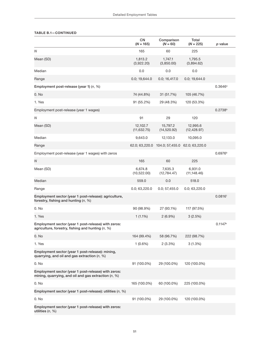|                                                                                                               | CN<br>$(N = 165)$        | Comparison<br>$(N = 60)$                      | Total<br>$(N = 225)$     | p value             |
|---------------------------------------------------------------------------------------------------------------|--------------------------|-----------------------------------------------|--------------------------|---------------------|
| Ν                                                                                                             | 165                      | 60                                            | 225                      |                     |
| Mean (SD)                                                                                                     | 1,813.2<br>(3,922.20)    | 1,747.1<br>(3,850.00)                         | 1,795.5<br>(3,894.62)    |                     |
| Median                                                                                                        | 0.0                      | 0.0                                           | 0.0                      |                     |
| Range                                                                                                         | 0.0; 19,644.0            | 0.0; 16,417.0                                 | 0.0; 19,644.0            |                     |
| Employment post-release (year 1) (n, %)                                                                       |                          |                                               |                          | 0.3646a             |
| 0. No                                                                                                         | 74 (44.8%)               | 31 (51.7%)                                    | 105 (46.7%)              |                     |
| 1. Yes                                                                                                        | 91 (55.2%)               | 29 (48.3%)                                    | 120 (53.3%)              |                     |
| Employment post-release (year 1 wages)                                                                        |                          |                                               |                          | 0.2738 <sup>b</sup> |
| $\cal N$                                                                                                      | 91                       | 29                                            | 120                      |                     |
| Mean (SD)                                                                                                     | 12,102.7<br>(11, 632.75) | 15,797.2<br>(14, 520.92)                      | 12,995.6<br>(12, 428.97) |                     |
| Median                                                                                                        | 9,643.0                  | 12,133.0                                      | 10,095.0                 |                     |
| Range                                                                                                         |                          | 62.0; 63,220.0 104.0; 57,455.0 62.0; 63,220.0 |                          |                     |
| Employment post-release (year 1 wages) with zeros                                                             |                          |                                               |                          | 0.6976 <sup>b</sup> |
| $\overline{N}$                                                                                                | 165                      | 60                                            | 225                      |                     |
| Mean (SD)                                                                                                     | 6,674.8<br>(10, 522.00)  | 7,635.3<br>(12, 784.47)                       | 6,931.0<br>(11, 148.46)  |                     |
| Median                                                                                                        | 559.0                    | 0.0                                           | 518.0                    |                     |
| Range                                                                                                         | 0.0; 63,220.0            | 0.0; 57,455.0                                 | 0.0; 63,220.0            |                     |
| Employment sector (year 1 post-release): agriculture,<br>forestry, fishing and hunting $(n, %)$               |                          |                                               |                          | 0.0816 <sup>1</sup> |
| 0. No                                                                                                         | 90 (98.9%)               | 27 (93.1%)                                    | 117 (97.5%)              |                     |
| 1. Yes                                                                                                        | $1(1.1\%)$               | $2(6.9\%)$                                    | 3(2.5%)                  |                     |
| Employment sector (year 1 post-release) with zeros:<br>agriculture, forestry, fishing and hunting $(n, %)$    |                          |                                               |                          | 0.1147a             |
| 0. No                                                                                                         | 164 (99.4%)              | 58 (96.7%)                                    | 222 (98.7%)              |                     |
| 1. Yes                                                                                                        | $1(0.6\%)$               | 2(3.3%)                                       | 3(1.3%)                  |                     |
| Employment sector (year 1 post-release): mining,<br>quarrying, and oil and gas extraction $(n, %)$            |                          |                                               |                          |                     |
| 0. No                                                                                                         | 91 (100.0%)              | 29 (100.0%)                                   | 120 (100.0%)             |                     |
| Employment sector (year 1 post-release) with zeros:<br>mining, quarrying, and oil and gas extraction $(n, %)$ |                          |                                               |                          |                     |
| 0. No                                                                                                         | 165 (100.0%)             | 60 (100.0%)                                   | 225 (100.0%)             |                     |
| Employment sector (year 1 post-release): utilities (n, %)                                                     |                          |                                               |                          |                     |
| 0. No                                                                                                         | 91 (100.0%)              | 29 (100.0%)                                   | 120 (100.0%)             |                     |
| Employment sector (year 1 post-release) with zeros:<br>utilities $(n, %)$                                     |                          |                                               |                          |                     |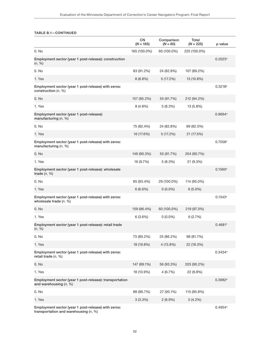|                                                                                     | CN<br>$(N = 165)$ | Comparison<br>$(N = 60)$ | Total<br>$(N = 225)$ | p value               |
|-------------------------------------------------------------------------------------|-------------------|--------------------------|----------------------|-----------------------|
| 0. No                                                                               | 165 (100.0%)      | 60 (100.0%)              | 225 (100.0%)         |                       |
| Employment sector (year 1 post-release): construction<br>(n, %)                     |                   |                          |                      | $0.2023$ <sup>a</sup> |
| 0. No                                                                               | 83 (91.2%)        | 24 (82.8%)               | 107 (89.2%)          |                       |
| 1. Yes                                                                              | 8(8.8%)           | 5(17.2%)                 | 13 (10.8%)           |                       |
| Employment sector (year 1 post-release) with zeros:<br>construction (n, %)          |                   |                          |                      | $0.3218^a$            |
| 0. No                                                                               | 157 (95.2%)       | 55 (91.7%)               | 212 (94.2%)          |                       |
| 1. Yes                                                                              | 8 (4.8%)          | 5(8.3%)                  | 13 (5.8%)            |                       |
| Employment sector (year 1 post-release):<br>manufacturing (n, %)                    |                   |                          |                      | $0.9664$ <sup>a</sup> |
| 0. No                                                                               | 75 (82.4%)        | 24 (82.8%)               | 99 (82.5%)           |                       |
| 1. Yes                                                                              | 16 (17.6%)        | 5(17.2%)                 | 21 (17.5%)           |                       |
| Employment sector (year 1 post-release) with zeros:<br>manufacturing $(n, %)$       |                   |                          |                      | 0.7558a               |
| $0.$ No                                                                             | 149 (90.3%)       | 55 (91.7%)               | 204 (90.7%)          |                       |
| 1. Yes                                                                              | 16 (9.7%)         | 5(8.3%)                  | 21 (9.3%)            |                       |
| Employment sector (year 1 post-release): wholesale<br>trade $(n, %)$                |                   |                          |                      | $0.1560$ <sup>a</sup> |
| 0. No                                                                               | 85 (93.4%)        | 29 (100.0%)              | 114 (95.0%)          |                       |
| 1. Yes                                                                              | 6(6.6%)           | $0(0.0\%)$               | $6(5.0\%)$           |                       |
| Employment sector (year 1 post-release) with zeros:<br>wholesale trade $(n, %)$     |                   |                          |                      | 0.1343a               |
| 0. No                                                                               | 159 (96.4%)       | 60 (100.0%)              | 219 (97.3%)          |                       |
| 1. Yes                                                                              | 6(3.6%)           | $0(0.0\%)$               | 6(2.7%)              |                       |
| Employment sector (year 1 post-release): retail trade<br>(n, %)                     |                   |                          |                      | $0.4681$ <sup>a</sup> |
| 0. No                                                                               | 73 (80.2%)        | 25 (86.2%)               | 98 (81.7%)           |                       |
| 1. Yes                                                                              | 18 (19.8%)        | 4 (13.8%)                | 22 (18.3%)           |                       |
| Employment sector (year 1 post-release) with zeros:<br>retail trade (n, %)          |                   |                          |                      | $0.3434$ <sup>a</sup> |
| 0. No                                                                               | 147 (89.1%)       | 56 (93.3%)               | 203 (90.2%)          |                       |
| 1. Yes                                                                              | 18 (10.9%)        | 4(6.7%)                  | 22 (9.8%)            |                       |
| Employment sector (year 1 post-release): transportation<br>and warehousing $(n, %)$ |                   |                          |                      | 0.3982a               |
| 0. No                                                                               | 88 (96.7%)        | 27 (93.1%)               | 115 (95.8%)          |                       |
| 1. Yes                                                                              | 3(3.3%)           | $2(6.9\%)$               | 5(4.2%)              |                       |
| Employment sector (year 1 post-release) with zeros:                                 |                   |                          |                      | 0.4954a               |

transportation and warehousing (*n*, %)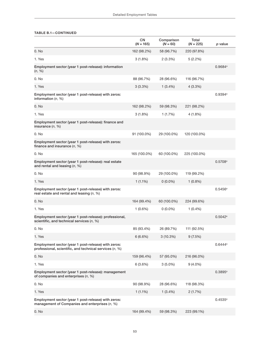|                                                                                                                  | CN<br>$(N = 165)$ | Comparison<br>$(N = 60)$ | Total<br>$(N = 225)$ | p value               |
|------------------------------------------------------------------------------------------------------------------|-------------------|--------------------------|----------------------|-----------------------|
| 0. No                                                                                                            | 162 (98.2%)       | 58 (96.7%)               | 220 (97.8%)          |                       |
| 1. Yes                                                                                                           | 3(1.8%)           | 2(3.3%)                  | 5(2.2%)              |                       |
| Employment sector (year 1 post-release): information<br>(n, %)                                                   |                   |                          |                      | 0.9684a               |
| 0. No                                                                                                            | 88 (96.7%)        | 28 (96.6%)               | 116 (96.7%)          |                       |
| 1. Yes                                                                                                           | 3(3.3%)           | $1(3.4\%)$               | 4(3.3%)              |                       |
| Employment sector (year 1 post-release) with zeros:<br>information $(n, %)$                                      |                   |                          |                      | 0.9394a               |
| 0. No                                                                                                            | 162 (98.2%)       | 59 (98.3%)               | 221 (98.2%)          |                       |
| 1. Yes                                                                                                           | 3(1.8%)           | 1(1.7%)                  | 4(1.8%)              |                       |
| Employment sector (year 1 post-release): finance and<br>insurance $(n, %)$                                       |                   |                          |                      |                       |
| 0. No                                                                                                            | 91 (100.0%)       | 29 (100.0%)              | 120 (100.0%)         |                       |
| Employment sector (year 1 post-release) with zeros:<br>finance and insurance $(n, %)$                            |                   |                          |                      |                       |
| 0. No                                                                                                            | 165 (100.0%)      | 60 (100.0%)              | 225 (100.0%)         |                       |
| Employment sector (year 1 post-release): real estate<br>and rental and leasing $(n, %)$                          |                   |                          |                      | $0.5708$ <sup>a</sup> |
| 0. No                                                                                                            | 90 (98.9%)        | 29 (100.0%)              | 119 (99.2%)          |                       |
| 1. Yes                                                                                                           | $1(1.1\%)$        | $0(0.0\%)$               | $1(0.8\%)$           |                       |
| Employment sector (year 1 post-release) with zeros:<br>real estate and rental and leasing $(n, %)$               |                   |                          |                      | $0.5456^{\circ}$      |
| 0. No                                                                                                            | 164 (99.4%)       | 60 (100.0%)              | 224 (99.6%)          |                       |
| 1. Yes                                                                                                           | $1(0.6\%)$        | $0(0.0\%)$               | $1(0.4\%)$           |                       |
| Employment sector (year 1 post-release): professional,<br>scientific, and technical services $(n, %)$            |                   |                          |                      | $0.5042^{\text{a}}$   |
| $0.$ No                                                                                                          | 85 (93.4%)        | 26 (89.7%)               | 111 (92.5%)          |                       |
| 1. Yes                                                                                                           | 6(6.6%)           | 3 (10.3%)                | 9(7.5%)              |                       |
| Employment sector (year 1 post-release) with zeros:<br>professional, scientific, and technical services $(n, %)$ |                   |                          |                      | $0.6444^a$            |
| 0. No                                                                                                            | 159 (96.4%)       | 57 (95.0%)               | 216 (96.0%)          |                       |
| 1. Yes                                                                                                           | 6(3.6%)           | $3(5.0\%)$               | $9(4.0\%)$           |                       |
| Employment sector (year 1 post-release): management<br>of companies and enterprises $(n, %)$                     |                   |                          |                      | $0.3895^{\rm a}$      |
| 0. No                                                                                                            | 90 (98.9%)        | 28 (96.6%)               | 118 (98.3%)          |                       |
| 1. Yes                                                                                                           | $1(1.1\%)$        | $1(3.4\%)$               | 2(1.7%)              |                       |
| Employment sector (year 1 post-release) with zeros:<br>management of Companies and enterprises $(n, %)$          |                   |                          |                      | $0.4535^{a}$          |
| 0. No                                                                                                            | 164 (99.4%)       | 59 (98.3%)               | 223 (99.1%)          |                       |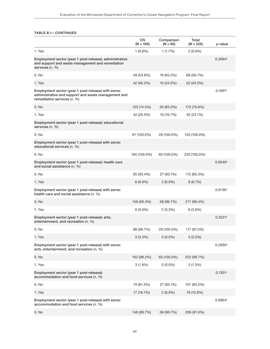|                                                                                                                                             | CΝ<br>$(N = 165)$ | Comparison<br>$(N = 60)$ | Total<br>$(N = 225)$ | p value               |
|---------------------------------------------------------------------------------------------------------------------------------------------|-------------------|--------------------------|----------------------|-----------------------|
| 1. Yes                                                                                                                                      | $1(0.6\%)$        | 1(1.7%)                  | $2(0.9\%)$           |                       |
| Employment sector (year 1 post-release): administrative<br>and support and waste management and remediation<br>services (n, %)              |                   |                          |                      | $0.2694$ <sup>a</sup> |
| 0. No                                                                                                                                       | 49 (53.8%)        | 19 (65.5%)               | 68 (56.7%)           |                       |
| 1. Yes                                                                                                                                      | 42 (46.2%)        | 10 (34.5%)               | 52 (43.3%)           |                       |
| Employment sector (year 1 post-release) with zeros:<br>administrative and support and waste management and<br>remediation services $(n, %)$ |                   |                          |                      | 0.1667a               |
| 0. No                                                                                                                                       | 123 (74.5%)       | 50 (83.3%)               | 173 (76.9%)          |                       |
| 1. Yes                                                                                                                                      | 42 (25.5%)        | 10 (16.7%)               | 52 (23.1%)           |                       |
| Employment sector (year 1 post-release): educational<br>services (n, %)                                                                     |                   |                          |                      |                       |
| 0. No                                                                                                                                       | 91 (100.0%)       | 29 (100.0%)              | 120 (100.0%)         |                       |
| Employment sector (year 1 post-release) with zeros:<br>educational services $(n, %)$                                                        |                   |                          |                      |                       |
| 0. No                                                                                                                                       | 165 (100.0%)      | 60 (100.0%)              | 225 (100.0%)         |                       |
| Employment sector (year 1 post-release): health care<br>and social assistance $(n, %)$                                                      |                   |                          |                      | 0.9546a               |
| 0. No                                                                                                                                       | 85 (93.4%)        | 27 (93.1%)               | 112 (93.3%)          |                       |
| 1. Yes                                                                                                                                      | 6(6.6%)           | $2(6.9\%)$               | 8(6.7%)              |                       |
| Employment sector (year 1 post-release) with zeros:<br>health care and social assistance $(n, %)$                                           |                   |                          |                      | $0.9136^a$            |
| 0. No                                                                                                                                       | 159 (96.4%)       | 58 (96.7%)               | 217 (96.4%)          |                       |
| 1. Yes                                                                                                                                      | 6(3.6%)           | 2(3.3%)                  | 8 (3.6%)             |                       |
| Employment sector (year 1 post-release): arts,<br>entertainment, and recreation $(n, %)$                                                    |                   |                          |                      | 0.3221a               |
| $0.$ No                                                                                                                                     | 88 (96.7%)        | 29 (100.0%)              | 117 (97.5%)          |                       |
| 1. Yes                                                                                                                                      | 3(3.3%)           | $0(0.0\%)$               | 3(2.5%)              |                       |
| Employment sector (year 1 post-release) with zeros:<br>arts, entertainment, and recreation $(n, %)$                                         |                   |                          |                      | 0.2930a               |
| 0. No                                                                                                                                       | 162 (98.2%)       | 60 (100.0%)              | 222 (98.7%)          |                       |
| 1. Yes                                                                                                                                      | 3(1.8%)           | $0(0.0\%)$               | 3(1.3%)              |                       |
| Employment sector (year 1 post-release):<br>accommodation and food services $(n, %)$                                                        |                   |                          |                      | 0.1301a               |
| 0. No                                                                                                                                       | 74 (81.3%)        | 27 (93.1%)               | 101 (84.2%)          |                       |
| 1. Yes                                                                                                                                      | 17 (18.7%)        | $2(6.9\%)$               | 19 (15.8%)           |                       |
| Employment sector (year 1 post-release) with zeros:<br>accommodation and food services $(n, %)$                                             |                   |                          |                      | 0.0964a               |
| 0. No                                                                                                                                       | 148 (89.7%)       | 58 (96.7%)               | 206 (91.6%)          |                       |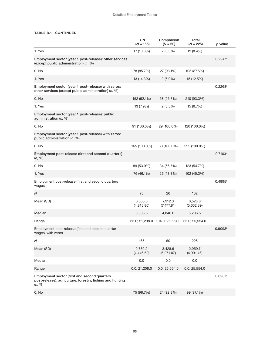|                                                                                                                     | <b>CN</b><br>$(N = 165)$ | Comparison<br>$(N = 60)$                      | Total<br>$(N = 225)$  | p value             |
|---------------------------------------------------------------------------------------------------------------------|--------------------------|-----------------------------------------------|-----------------------|---------------------|
| 1. Yes                                                                                                              | 17 (10.3%)               | 2(3.3%)                                       | 19 (8.4%)             |                     |
| Employment sector (year 1 post-release): other services<br>(except public administration) (n, %)                    |                          |                                               |                       | 0.2947a             |
| 0. No                                                                                                               | 78 (85.7%)               | 27 (93.1%)                                    | 105 (87.5%)           |                     |
| 1. Yes                                                                                                              | 13 (14.3%)               | $2(6.9\%)$                                    | 15 (12.5%)            |                     |
| Employment sector (year 1 post-release) with zeros:<br>other services (except public administration) $(n, %)$       |                          |                                               |                       | $0.2268^{\text{a}}$ |
| 0. No                                                                                                               | 152 (92.1%)              | 58 (96.7%)                                    | 210 (93.3%)           |                     |
| 1. Yes                                                                                                              | 13 (7.9%)                | 2(3.3%)                                       | 15 (6.7%)             |                     |
| Employment sector (year 1 post-release): public<br>administration $(n, %)$                                          |                          |                                               |                       |                     |
| 0. No                                                                                                               | 91 (100.0%)              | 29 (100.0%)                                   | 120 (100.0%)          |                     |
| Employment sector (year 1 post-release) with zeros:<br>public administration $(n, %)$                               |                          |                                               |                       |                     |
| 0. No                                                                                                               | 165 (100.0%)             | 60 (100.0%)                                   | 225 (100.0%)          |                     |
| Employment post-release (first and second quarters)<br>(n, %)                                                       |                          |                                               |                       | $0.7163^a$          |
| 0. No                                                                                                               | 89 (53.9%)               | 34 (56.7%)                                    | 123 (54.7%)           |                     |
| 1. Yes                                                                                                              | 76 (46.1%)               | 26 (43.3%)                                    | 102 (45.3%)           |                     |
| Employment post-release (first and second quarters<br>wages)                                                        |                          |                                               |                       | 0.4895 <sup>b</sup> |
| Ν                                                                                                                   | 76                       | 26                                            | 102                   |                     |
| Mean (SD)                                                                                                           | 6,055.6<br>(4, 815.80)   | 7,912.0<br>(7,477.81)                         | 6,528.8<br>(5,632.39) |                     |
| Median                                                                                                              | 5,308.5                  | 4,840.0                                       | 5,206.5               |                     |
| Range                                                                                                               |                          | 35.0; 21,208.0 104.0; 25,554.0 35.0; 25,554.0 |                       |                     |
| Employment post-release (first and second quarter<br>wages) with zeros                                              |                          |                                               |                       | 0.9093 <sup>b</sup> |
| Ν                                                                                                                   | 165                      | 60                                            | 225                   |                     |
| Mean (SD)                                                                                                           | 2,789.2<br>(4,446.60)    | 3,428.6<br>(6, 271.07)                        | 2,959.7<br>(4,991.46) |                     |
| Median                                                                                                              | 0.0                      | 0.0                                           | 0.0                   |                     |
| Range                                                                                                               | 0.0; 21,208.0            | 0.0; 25,554.0                                 | 0.0; 25,554.0         |                     |
| Employment sector (first and second quarters<br>post-release): agriculture, forestry, fishing and hunting<br>(n, %) |                          |                                               |                       | 0.0967a             |
| 0. No                                                                                                               | 75 (98.7%)               | 24 (92.3%)                                    | 99 (97.1%)            |                     |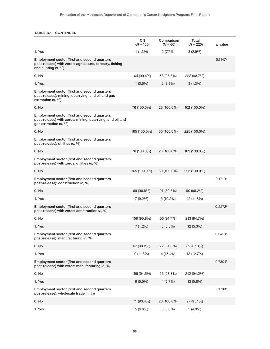|                                                                                                                                     | CN<br>$(N = 165)$ | Comparison<br>$(N = 60)$ | Total<br>$(N = 225)$ | p value               |
|-------------------------------------------------------------------------------------------------------------------------------------|-------------------|--------------------------|----------------------|-----------------------|
| 1. Yes                                                                                                                              | 1(1.3%)           | 2(7.7%)                  | 3(2.9%)              |                       |
| Employment sector (first and second quarters<br>post-release) with zeros: agriculture, forestry, fishing<br>and hunting $(n, %)$    |                   |                          |                      | 0.1147a               |
| 0. No                                                                                                                               | 164 (99.4%)       | 58 (96.7%)               | 222 (98.7%)          |                       |
| 1. Yes                                                                                                                              | $1(0.6\%)$        | 2(3.3%)                  | 3(1.3%)              |                       |
| Employment sector (first and second quarters<br>post-release): mining, quarrying, and oil and gas<br>extraction $(n, %)$            |                   |                          |                      |                       |
| 0. No                                                                                                                               | 76 (100.0%)       | 26 (100.0%)              | 102 (100.0%)         |                       |
| Employment sector (first and second quarters<br>post-release) with zeros: mining, quarrying, and oil and<br>gas extraction $(n, %)$ |                   |                          |                      |                       |
| 0. No                                                                                                                               | 165 (100.0%)      | 60 (100.0%)              | 225 (100.0%)         |                       |
| Employment sector (first and second quarters<br>post-release): utilities (n, %)                                                     |                   |                          |                      |                       |
| 0. No                                                                                                                               | 76 (100.0%)       | 26 (100.0%)              | 102 (100.0%)         |                       |
| Employment sector (first and second quarters<br>post-release) with zeros: utilities $(n, %)$                                        |                   |                          |                      |                       |
| 0. No                                                                                                                               | 165 (100.0%)      | 60 (100.0%)              | 225 (100.0%)         |                       |
| Employment sector (first and second quarters<br>post-release): construction (n, %)                                                  |                   |                          |                      | $0.1710^a$            |
| 0. No                                                                                                                               | 69 (90.8%)        | 21 (80.8%)               | 90 (88.2%)           |                       |
| 1. Yes                                                                                                                              | 7(9.2%)           | 5(19.2%)                 | 12 (11.8%)           |                       |
| Employment sector (first and second quarters<br>post-release) with zeros: construction $(n, %)$                                     |                   |                          |                      | 0.2272a               |
| 0. No                                                                                                                               | 158 (95.8%)       | 55 (91.7%)               | 213 (94.7%)          |                       |
| 1. Yes                                                                                                                              | 7(4.2%)           | 5(8.3%)                  | 12 (5.3%)            |                       |
| Employment sector (first and second quarters<br>post-release): manufacturing (n, %)                                                 |                   |                          |                      | $0.6401$ <sup>a</sup> |
| 0. No                                                                                                                               | 67 (88.2%)        | 22 (84.6%)               | 89 (87.3%)           |                       |
| 1. Yes                                                                                                                              | 9(11.8%)          | 4 (15.4%)                | 13 (12.7%)           |                       |
| Employment sector (first and second quarters<br>post-release) with zeros: manufacturing $(n, %)$                                    |                   |                          |                      | 0.7304 <sup>1</sup>   |
| 0. No                                                                                                                               | 156 (94.5%)       | 56 (93.3%)               | 212 (94.2%)          |                       |
| 1. Yes                                                                                                                              | 9(5.5%)           | 4(6.7%)                  | 13 (5.8%)            |                       |
| Employment sector (first and second quarters<br>post-release): wholesale trade (n, %)                                               |                   |                          |                      | 0.1799 <sup>1</sup>   |
| 0. No                                                                                                                               | 71 (93.4%)        | 26 (100.0%)              | 97 (95.1%)           |                       |
| 1. Yes                                                                                                                              | 5(6.6%)           | $0(0.0\%)$               | 5 (4.9%)             |                       |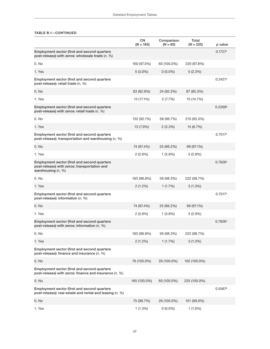|                                                                                                                      | CN<br>$(N = 165)$ | Comparison<br>$(N = 60)$ | Total<br>$(N = 225)$ | p value               |
|----------------------------------------------------------------------------------------------------------------------|-------------------|--------------------------|----------------------|-----------------------|
| Employment sector (first and second quarters<br>post-release) with zeros: wholesale trade $(n, %)$                   |                   |                          |                      | 0.1727a               |
| 0. No                                                                                                                | 160 (97.0%)       | 60 (100.0%)              | 220 (97.8%)          |                       |
| 1. Yes                                                                                                               | $5(3.0\%)$        | $0(0.0\%)$               | 5(2.2%)              |                       |
| Employment sector (first and second quarters<br>post-release): retail trade (n, %)                                   |                   |                          |                      | $0.2421$ <sup>a</sup> |
| 0. No                                                                                                                | 63 (82.9%)        | 24 (92.3%)               | 87 (85.3%)           |                       |
| 1. Yes                                                                                                               | 13 (17.1%)        | 2(7.7%)                  | 15 (14.7%)           |                       |
| Employment sector (first and second quarters<br>post-release) with zeros: retail trade $(n, %)$                      |                   |                          |                      | $0.2268$ <sup>a</sup> |
| 0. No                                                                                                                | 152 (92.1%)       | 58 (96.7%)               | 210 (93.3%)          |                       |
| 1. Yes                                                                                                               | 13 (7.9%)         | 2(3.3%)                  | 15 (6.7%)            |                       |
| Employment sector (first and second quarters<br>post-release): transportation and warehousing $(n, %)$               |                   |                          |                      | 0.7517a               |
| 0. No                                                                                                                | 74 (97.4%)        | 25 (96.2%)               | 99 (97.1%)           |                       |
| 1. Yes                                                                                                               | 2(2.6%)           | 1(3.8%)                  | 3(2.9%)              |                       |
| Employment sector (first and second quarters<br>post-release) with zeros: transportation and<br>warehousing $(n, %)$ |                   |                          |                      | 0.7926a               |
| 0. No                                                                                                                | 163 (98.8%)       | 59 (98.3%)               | 222 (98.7%)          |                       |
| 1. Yes                                                                                                               | 2(1.2%)           | 1(1.7%)                  | 3(1.3%)              |                       |
| Employment sector (first and second quarters<br>post-release): information (n, %)                                    |                   |                          |                      | 0.7517a               |
| 0. No                                                                                                                | 74 (97.4%)        | 25 (96.2%)               | 99 (97.1%)           |                       |
| 1. Yes                                                                                                               | 2(2.6%)           | 1(3.8%)                  | $3(2.9\%)$           |                       |
| Employment sector (first and second quarters<br>post-release) with zeros: information $(n, %)$                       |                   |                          |                      | 0.7926a               |
| 0. No                                                                                                                | 163 (98.8%)       | 59 (98.3%)               | 222 (98.7%)          |                       |
| 1. Yes                                                                                                               | 2(1.2%)           | 1(1.7%)                  | 3(1.3%)              |                       |
| Employment sector (first and second quarters<br>post-release): finance and insurance $(n, %)$                        |                   |                          |                      |                       |
| 0. No                                                                                                                | 76 (100.0%)       | 26 (100.0%)              | 102 (100.0%)         |                       |
| Employment sector (first and second quarters<br>post-release) with zeros: finance and insurance $(n, %)$             |                   |                          |                      |                       |
| 0. No                                                                                                                | 165 (100.0%)      | 60 (100.0%)              | 225 (100.0%)         |                       |
| Employment sector (first and second quarters<br>post-release): real estate and rental and leasing $(n, %)$           |                   |                          |                      | 0.5567a               |
| 0. No                                                                                                                | 75 (98.7%)        | 26 (100.0%)              | 101 (99.0%)          |                       |
| 1. Yes                                                                                                               | 1(1.3%)           | $0(0.0\%)$               | $1(1.0\%)$           |                       |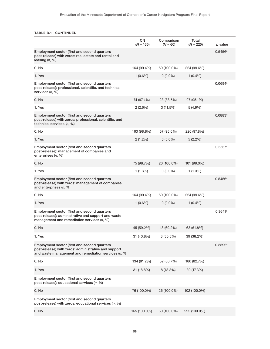|                                                                                                                                                                | CN<br>$(N = 165)$ | Comparison<br>$(N = 60)$ | Total<br>$(N = 225)$ | p value          |
|----------------------------------------------------------------------------------------------------------------------------------------------------------------|-------------------|--------------------------|----------------------|------------------|
| Employment sector (first and second quarters<br>post-release) with zeros: real estate and rental and<br>leasing $(n, %)$                                       |                   |                          |                      | $0.5456^{\circ}$ |
| 0. No                                                                                                                                                          | 164 (99.4%)       | 60 (100.0%)              | 224 (99.6%)          |                  |
| 1. Yes                                                                                                                                                         | $1(0.6\%)$        | $0(0.0\%)$               | $1(0.4\%)$           |                  |
| Employment sector (first and second quarters<br>post-release): professional, scientific, and technical<br>services (n, %)                                      |                   |                          |                      | 0.0694a          |
| 0. No                                                                                                                                                          | 74 (97.4%)        | 23 (88.5%)               | 97 (95.1%)           |                  |
| 1. Yes                                                                                                                                                         | 2(2.6%)           | 3(11.5%)                 | 5 (4.9%)             |                  |
| Employment sector (first and second quarters<br>post-release) with zeros: professional, scientific, and<br>technical services $(n, %)$                         |                   |                          |                      | 0.0883a          |
| 0. No                                                                                                                                                          | 163 (98.8%)       | 57 (95.0%)               | 220 (97.8%)          |                  |
| 1. Yes                                                                                                                                                         | 2(1.2%)           | $3(5.0\%)$               | 5(2.2%)              |                  |
| Employment sector (first and second quarters<br>post-release): management of companies and<br>enterprises (n, %)                                               |                   |                          |                      | 0.5567a          |
| 0. No                                                                                                                                                          | 75 (98.7%)        | 26 (100.0%)              | 101 (99.0%)          |                  |
| 1. Yes                                                                                                                                                         | 1(1.3%)           | $0(0.0\%)$               | $1(1.0\%)$           |                  |
| Employment sector (first and second quarters<br>post-release) with zeros: management of companies<br>and enterprises $(n, %)$                                  |                   |                          |                      | $0.5456^{\circ}$ |
| 0. No                                                                                                                                                          | 164 (99.4%)       | 60 (100.0%)              | 224 (99.6%)          |                  |
| 1. Yes                                                                                                                                                         | $1(0.6\%)$        | $0(0.0\%)$               | $1(0.4\%)$           |                  |
| Employment sector (first and second quarters<br>post-release): administrative and support and waste<br>management and remediation services $(n, \%)$           |                   |                          |                      | $0.3641^a$       |
| 0. No                                                                                                                                                          | 45 (59.2%)        | 18 (69.2%)               | 63 (61.8%)           |                  |
| 1. Yes                                                                                                                                                         | 31 (40.8%)        | 8 (30.8%)                | 39 (38.2%)           |                  |
| Employment sector (first and second quarters<br>post-release) with zeros: administrative and support<br>and waste management and remediation services $(n, %)$ |                   |                          |                      | 0.3392a          |
| 0. No                                                                                                                                                          | 134 (81.2%)       | 52 (86.7%)               | 186 (82.7%)          |                  |
| 1. Yes                                                                                                                                                         | 31 (18.8%)        | 8 (13.3%)                | 39 (17.3%)           |                  |
| Employment sector (first and second quarters<br>post-release): educational services (n, %)                                                                     |                   |                          |                      |                  |
| 0. No                                                                                                                                                          | 76 (100.0%)       | 26 (100.0%)              | 102 (100.0%)         |                  |
| Employment sector (first and second quarters<br>post-release) with zeros: educational services (n, %)                                                          |                   |                          |                      |                  |
| 0. No                                                                                                                                                          | 165 (100.0%)      | 60 (100.0%)              | 225 (100.0%)         |                  |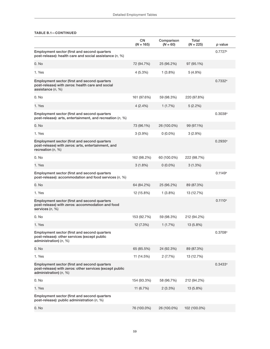|                                                                                                                                   | CN<br>$(N = 165)$ | Comparison<br>$(N = 60)$ | Total<br>$(N = 225)$ | p value               |
|-----------------------------------------------------------------------------------------------------------------------------------|-------------------|--------------------------|----------------------|-----------------------|
| Employment sector (first and second quarters<br>post-release): health care and social assistance $(n, %)$                         |                   |                          |                      | 0.7727a               |
| 0. No                                                                                                                             | 72 (94.7%)        | 25 (96.2%)               | 97 (95.1%)           |                       |
| 1. Yes                                                                                                                            | 4(5.3%)           | 1(3.8%)                  | 5(4.9%)              |                       |
| Employment sector (first and second quarters<br>post-release) with zeros: health care and social<br>assistance $(n, %)$           |                   |                          |                      | 0.7332a               |
| 0. No                                                                                                                             | 161 (97.6%)       | 59 (98.3%)               | 220 (97.8%)          |                       |
| 1. Yes                                                                                                                            | 4(2.4%)           | 1(1.7%)                  | 5(2.2%)              |                       |
| Employment sector (first and second quarters<br>post-release): arts, entertainment, and recreation $(n, %)$                       |                   |                          |                      | $0.3038$ <sup>a</sup> |
| 0. No                                                                                                                             | 73 (96.1%)        | 26 (100.0%)              | 99 (97.1%)           |                       |
| 1. Yes                                                                                                                            | $3(3.9\%)$        | $0(0.0\%)$               | 3(2.9%)              |                       |
| Employment sector (first and second quarters<br>post-release) with zeros: arts, entertainment, and<br>recreation $(n, %)$         |                   |                          |                      | 0.2930a               |
| 0. No                                                                                                                             | 162 (98.2%)       | 60 (100.0%)              | 222 (98.7%)          |                       |
| 1. Yes                                                                                                                            | 3(1.8%)           | $0(0.0\%)$               | 3(1.3%)              |                       |
| Employment sector (first and second quarters<br>post-release): accommodation and food services $(n, %)$                           |                   |                          |                      | 0.1149a               |
| 0. No                                                                                                                             | 64 (84.2%)        | 25 (96.2%)               | 89 (87.3%)           |                       |
| 1. Yes                                                                                                                            | 12 (15.8%)        | 1(3.8%)                  | 13 (12.7%)           |                       |
| Employment sector (first and second quarters<br>post-release) with zeros: accommodation and food<br>services (n, %)               |                   |                          |                      | $0.1110^a$            |
| 0. No                                                                                                                             | 153 (92.7%)       | 59 (98.3%)               | 212 (94.2%)          |                       |
| 1. Yes                                                                                                                            | 12 (7.3%)         | 1(1.7%)                  | 13 (5.8%)            |                       |
| Employment sector (first and second quarters<br>post-release): other services (except public<br>administration) (n, %)            |                   |                          |                      | 0.3708a               |
| 0. No                                                                                                                             | 65 (85.5%)        | 24 (92.3%)               | 89 (87.3%)           |                       |
| 1. Yes                                                                                                                            | 11 (14.5%)        | 2(7.7%)                  | 13 (12.7%)           |                       |
| Employment sector (first and second quarters<br>post-release) with zeros: other services (except public<br>administration) (n, %) |                   |                          |                      | $0.3433^a$            |
| 0. No                                                                                                                             | 154 (93.3%)       | 58 (96.7%)               | 212 (94.2%)          |                       |
| 1. Yes                                                                                                                            | 11 (6.7%)         | $2(3.3\%)$               | 13 (5.8%)            |                       |
| Employment sector (first and second quarters<br>post-release): public administration (n, %)                                       |                   |                          |                      |                       |
| 0. No                                                                                                                             | 76 (100.0%)       | 26 (100.0%)              | 102 (100.0%)         |                       |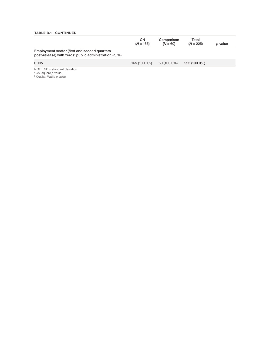|                                                                                                          | CN<br>$(N = 165)$ | Comparison<br>$(N = 60)$ | Total<br>$(N = 225)$ | p value |
|----------------------------------------------------------------------------------------------------------|-------------------|--------------------------|----------------------|---------|
| Employment sector (first and second quarters<br>post-release) with zeros: public administration $(n, %)$ |                   |                          |                      |         |
| 0. No                                                                                                    | 165 (100.0%)      | 60 (100.0%)              | 225 (100.0%)         |         |
| NOTE: $SD = standard deviation$ .                                                                        |                   |                          |                      |         |

a Chi-square *p* value.

b Kruskal-Wallis *p* value.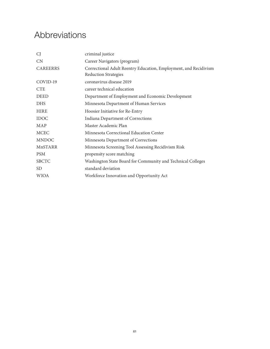## Abbreviations

| <b>CJ</b>       | criminal justice                                                 |
|-----------------|------------------------------------------------------------------|
| <b>CN</b>       | Career Navigators (program)                                      |
| <b>CAREERRS</b> | Correctional Adult Reentry Education, Employment, and Recidivism |
|                 | <b>Reduction Strategies</b>                                      |
| COVID-19        | coronavirus disease 2019                                         |
| <b>CTE</b>      | career technical education                                       |
| <b>DEED</b>     | Department of Employment and Economic Development                |
| <b>DHS</b>      | Minnesota Department of Human Services                           |
| <b>HIRE</b>     | Hoosier Initiative for Re-Entry                                  |
| <b>IDOC</b>     | Indiana Department of Corrections                                |
| MAP             | Master Academic Plan                                             |
| <b>MCEC</b>     | Minnesota Correctional Education Center                          |
| <b>MNDOC</b>    | Minnesota Department of Corrections                              |
| MnSTARR         | Minnesota Screening Tool Assessing Recidivism Risk               |
| <b>PSM</b>      | propensity score matching                                        |
| <b>SBCTC</b>    | Washington State Board for Community and Technical Colleges      |
| SD <sub>1</sub> | standard deviation                                               |
| <b>WIOA</b>     | Workforce Innovation and Opportunity Act                         |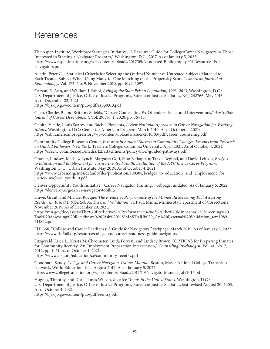## **References**

The Aspen Institute, Workforce Strategies Initiative, "A Resource Guide for College/Career Navigators or Those Interested in Starting a Navigator Program," Washington, D.C., 2017. As of January 5, 2022: [https://www.aspeninstitute.org/wp-content/uploads/2017/05/Annotated-Bibliography-Of-Resources-For-](https://www.aspeninstitute.org/wp-content/uploads/2017/05/Annotated-Bibliography-Of-Resources-For-Navigators.pdf)Navigators.pdf

Austin, Peter C., "Statistical Criteria for Selecting the Optimal Number of Untreated Subjects Matched to Each Treated Subject When Using Many-to-One Matching on the Propensity Score," *American Journal of Epidemiology*, Vol. 172, No. 9, November 2010, pp. 1092–1097.

Carson, E. Ann, and William J. Sabol, *Aging of the State Prison Population, 1993–2013*, Washington, D.C.: U.S. Department of Justice, Office of Justice Programs, Bureau of Justice Statistics, NCJ 248766, May 2016. As of December 22, 2021:

<https://bjs.ojp.gov/content/pub/pdf/aspp9313.pdf>

Chen, Charles P., and Brittany Shields, "Career Counselling Ex-Offenders: Issues and Interventions," *Australian Journal of Career Development*, Vol. 29, No. 1, 2020, pp. 36–43.

Choitz, Vickie, Louis Soares, and Rachel Pleasants, *A New National Approach to Career Navigation for Working Adults*, Washington, D.C.: Center for American Progress, March 2010. As of October 4, 2021: [https://cdn.americanprogress.org/wp-content/uploads/issues/2010/03/pdf/career\\_counseling.pdf](https://cdn.americanprogress.org/wp-content/uploads/issues/2010/03/pdf/career_counseling.pdf)

Community College Research Center, *Investing in Student Success at Community Colleges: Lessons from Research on Guided Pathways*, New York: Teachers College, Columbia University, April 2021. As of October 4, 2021: <https://ccrc.tc.columbia.edu/media/k2/attachments/policy-brief-guided-pathways.pdf>

Cramer, Lindsey, Mathew Lynch, Margaret Goff, Sino Esthappan, Travis Reginal, and David Leitson, *Bridges to Education and Employment for Justice-Involved Youth: Evaluation of the NYC Justice Corps Program*, Washington, D.C.: Urban Institute, May 2019. As of October 4, 2021: [https://www.urban.org/sites/default/files/publication/100308/bridges\\_to\\_education\\_and\\_employment\\_for\\_](https://www.urban.org/sites/default/files/publication/100308/bridges_to_education_and_employment_for_justice-involved_youth_0.pdf)

justice-involved\_youth\_0.pdf Denver Opportunity Youth Initiative, "Career Navigator Training," webpage, undated. As of January 5, 2022:

<https://denveroy.org/career-navigator-toolkit/> Duwe, Grant, and Michael Rocque, *The Predictive Performance of the Minnesota Screening Tool Assessing Recidivism Risk (MnSTARR): An External Validation*, St. Paul, Minn.: Minnesota Department of Corrections,

November 2019. As of December 29, 2021: [https://mn.gov/doc/assets/The%20Predictive%20Performance%20of%20the%20Minnesota%20Screening%20](https://mn.gov/doc/assets/The%20Predictive%20Performance%20of%20the%20Minnesota%20Screening%20Tool%20Assessing%20Recidivism%20Risk%20%28MnSTARR%29_An%20External%20Validation_tcm1089-411842.pdf) Tool%20Assessing%20Recidivism%20Risk%20%28MnSTARR%29\_An%20External%20Validation\_tcm1089- 411842.pdf

FHI 360, "College and Career Readiness: A Guide for Navigators," webpage, March 2019. As of January 5, 2022: <https://www.fhi360.org/resource/college-and-career-readiness-guide-navigators>

Fitzgerald, Erica L., Krista M. Chronister, Linda Forrest, and Lindsey Brown, "OPTIONS for Preparing Inmates for Community Reentry: An Employment Preparation Intervention," *Counseling Psychologist*, Vol. 41, No. 7, 2012, pp. 1–21. As of October 4, 2021:

<https://www.apa.org/education/ce/community-reentry.pdf>

Goodman, Sandy, *College and Career Navigator Trainer Manual*, Boston, Mass.: National College Transition Network, World Education, Inc., August 2014. As of January 5, 2022: <http://www.collegetransition.org/wp-content/uploads/2017/10/NavigatorManual-July2015.pdf>

Hughes, Timothy, and Doris James Wilson, *Reentry Trends in the United States*, Washington, D.C.: U.S. Department of Justice, Office of Justice Programs, Bureau of Justice Statistics, last revised August 20, 2003. As of October 4, 2021:

<https://bjs.ojp.gov/content/pub/pdf/reentry.pdf>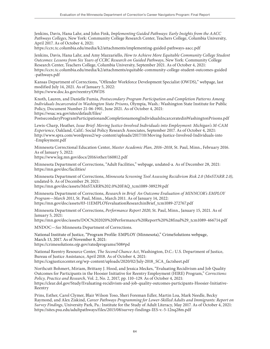Jenkins, Davis, Hana Lahr, and John Fink, *Implementing Guided Pathways: Early Insights from the AACC Pathways Colleges*, New York: Community College Research Center, Teachers College, Columbia University, April 2017. As of October 4, 2021:

<https://ccrc.tc.columbia.edu/media/k2/attachments/implementing-guided-pathways-aacc.pdf>

Jenkins, Davis, Hana Lahr, and Amy Mazzariello, *How to Achieve More Equitable Community College Student Outcomes: Lessons from Six Years of CCRC Research on Guided Pathways*, New York: Community College Research Center, Teachers College, Columbia University, September 2021. As of October 4, 2021: [https://ccrc.tc.columbia.edu/media/k2/attachments/equitable-community-college-student-outcomes-guided](https://ccrc.tc.columbia.edu/media/k2/attachments/equitable-community-college-student-outcomes-guided-pathways.pdf) -pathways.pdf

Kansas Department of Corrections, "Offender Workforce Development Specialist (OWDS)," webpage, last modified July 14, 2021. As of January 5, 2022: <https://www.doc.ks.gov/reentry/OWDS>

Knoth, Lauren, and Danielle Fumia, *Postsecondary Program Participation and Completion Patterns Among Individuals Incarcerated in Washington State Prisons*, Olympia, Wash.: Washington State Institute for Public Policy, Document Number 21-06-1901, June 2021. As of October 4, 2021: https://wsac.wa.gov/sites/default/files/

[PostsecondaryProgramParticipationandCompletionamongIndividualsIncarceratedinWashingtonPrisons.pdf](https://wsac.wa.gov/sites/default/files/PostsecondaryProgramParticipationandCompletionamongIndividualsIncarceratedinWashingtonPrisons.pdf)

Lewis-Charp, Heather, *Issue Brief: Moving Justice-Involved Individuals into Employment: Michigan's M-CAM Experience*, Oakland, Calif.: Social Policy Research Associates, September 2017. As of October 4, 2021: [http://www.spra.com/wordpress2/wp-content/uploads/2017/10/Moving-Justice-Involved-Individuals-into](http://www.spra.com/wordpress2/wp-content/uploads/2017/10/Moving-Justice-Involved-Individuals-into-Employment.pdf) -Employment.pdf

Minnesota Correctional Education Center, *Master Academic Plan, 2016–2018*, St. Paul, Minn., February 2016. As of January 5, 2022:

<https://www.leg.mn.gov/docs/2016/other/160812.pdf>

Minnesota Department of Corrections, "Adult Facilities," webpage, undated-a. As of December 28, 2021: <https://mn.gov/doc/facilities/>

Minnesota Department of Corrections, *Minnesota Screening Tool Assessing Recidivism Risk 2.0 (MnSTARR 2.0)*, undated-b. As of December 29, 2021:

[https://mn.gov/doc/assets/MnSTARR%202.0%20FAQ\\_tcm1089-389239.pdf](https://mn.gov/doc/assets/MnSTARR%202.0%20FAQ_tcm1089-389239.pdf)

Minnesota Department of Corrections, *Research in Brief: An Outcome Evaluation of MINNCOR's EMPLOY Program—March 2011*, St. Paul, Minn., March 2011. As of January 14, 2022: [https://mn.gov/doc/assets/03-11EMPLOYevaluationResearchinBrief\\_tcm1089-272767.pdf](https://mn.gov/doc/assets/03-11EMPLOYevaluationResearchinBrief_tcm1089-272767.pdf)

Minnesota Department of Corrections, *Performance Report 2020*, St. Paul, Minn., January 15, 2021. As of January 5, 2021:

[https://mn.gov/doc/assets/DOC%202020%20Performance%20Report%20%28final%29\\_tcm1089-466714.pdf](https://mn.gov/doc/assets/DOC%202020%20Performance%20Report%20%28final%29_tcm1089-466714.pdf)

MNDOC—*See* Minnesota Department of Corrections.

National Institute of Justice, "Program Profile: EMPLOY (Minnesota)," CrimeSolutions webpage, March 13, 2017. As of November 8, 2021: <https://crimesolutions.ojp.gov/ratedprograms/508#pd>

National Reentry Resource Center, *The Second Chance Act*, Washington, D.C.: U.S. Department of Justice, Bureau of Justice Assistance, April 2018. As of October 4, 2021: [https://csgjusticecenter.org/wp-content/uploads/2020/02/July-2018\\_SCA\\_factsheet.pdf](https://csgjusticecenter.org/wp-content/uploads/2020/02/July-2018_SCA_factsheet.pdf)

Northcutt Bohmert, Miriam, Brittany J. Hood, and Jessica Meckes, "Evaluating Recidivism and Job Quality Outcomes for Participants in the Hoosier Initiative for Reentry Employment (HIRE) Program," *Corrections: Policy, Practice and Research*, Vol. 2, No. 2, 2017, pp. 110–129. As of October 4, 2021: [https://clear.dol.gov/Study/Evaluating-recidivism-and-job-quality-outcomes-participants-Hoosier-Initiative-](https://clear.dol.gov/Study/Evaluating-recidivism-and-job-quality-outcomes-participants-Hoosier-Initiative-Reentry)Reentry

Prins, Esther, Carol Clymer, Blair Wilson Toso, Sheri Foreman Edler, Martin Loa, Mark Needle, Becky Raymond, and Alex Ziskind, *Career Pathways Programming for Lower-Skilled Adults and Immigrants: Report on Survey Findings*, University Park, Pa.: Institute for the Study of Adult Literacy, May 2017. As of October 4, 2021: <https://sites.psu.edu/adultpathways/files/2015/08/survey-findings-IES-v.-5-12nq28m.pdf>